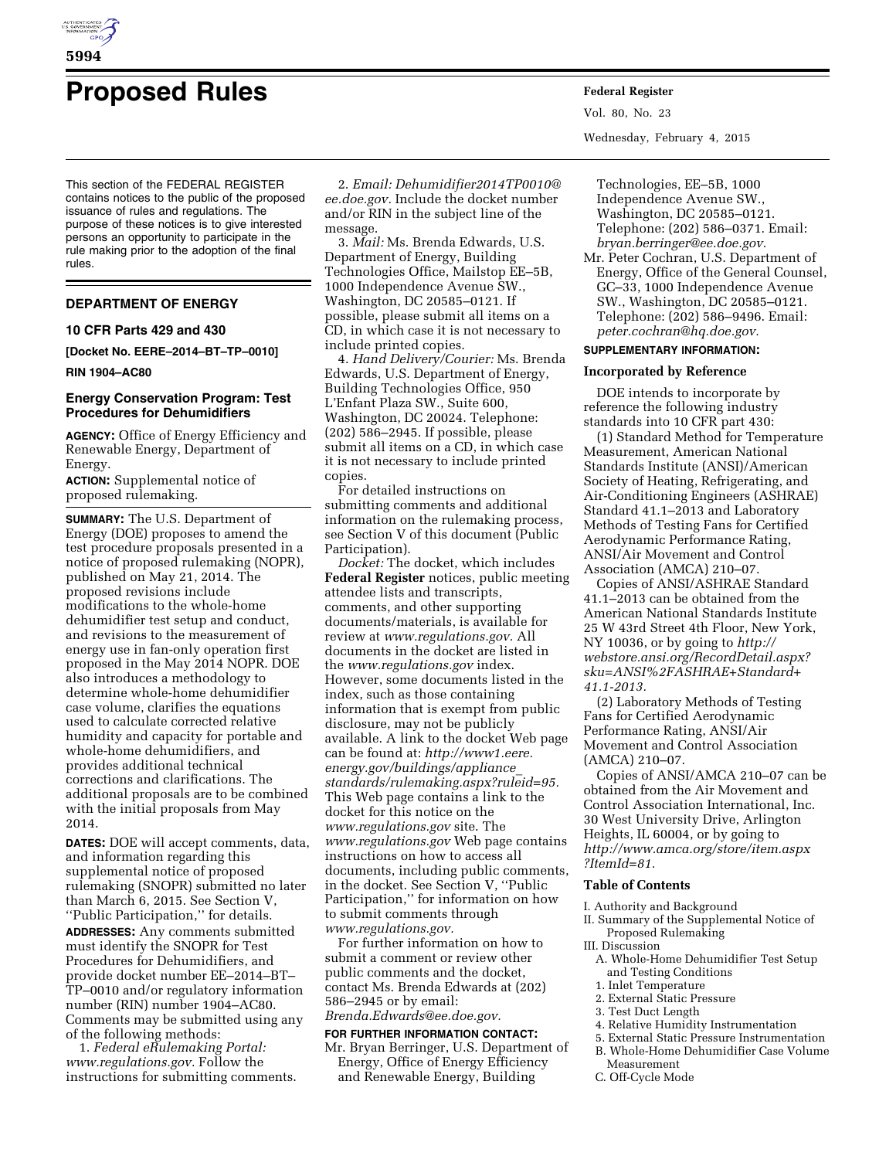

**5994** 

# **Proposed Rules Federal Register**

This section of the FEDERAL REGISTER contains notices to the public of the proposed issuance of rules and regulations. The purpose of these notices is to give interested persons an opportunity to participate in the rule making prior to the adoption of the final rules.

# **DEPARTMENT OF ENERGY**

#### **10 CFR Parts 429 and 430**

**[Docket No. EERE–2014–BT–TP–0010]** 

#### **RIN 1904–AC80**

# **Energy Conservation Program: Test Procedures for Dehumidifiers**

**AGENCY:** Office of Energy Efficiency and Renewable Energy, Department of Energy.

**ACTION:** Supplemental notice of proposed rulemaking.

**SUMMARY:** The U.S. Department of Energy (DOE) proposes to amend the test procedure proposals presented in a notice of proposed rulemaking (NOPR), published on May 21, 2014. The proposed revisions include modifications to the whole-home dehumidifier test setup and conduct, and revisions to the measurement of energy use in fan-only operation first proposed in the May 2014 NOPR. DOE also introduces a methodology to determine whole-home dehumidifier case volume, clarifies the equations used to calculate corrected relative humidity and capacity for portable and whole-home dehumidifiers, and provides additional technical corrections and clarifications. The additional proposals are to be combined with the initial proposals from May 2014.

**DATES:** DOE will accept comments, data, and information regarding this supplemental notice of proposed rulemaking (SNOPR) submitted no later than March 6, 2015. See Section V, ''Public Participation,'' for details. **ADDRESSES:** Any comments submitted must identify the SNOPR for Test Procedures for Dehumidifiers, and provide docket number EE–2014–BT– TP–0010 and/or regulatory information number (RIN) number 1904–AC80. Comments may be submitted using any of the following methods:

1. *Federal eRulemaking Portal: [www.regulations.gov.](http://www.regulations.gov)* Follow the instructions for submitting comments.

2. *Email: [Dehumidifier2014TP0010@](mailto:Dehumidifier2014TP0010@ee.doe.gov) [ee.doe.gov.](mailto:Dehumidifier2014TP0010@ee.doe.gov)* Include the docket number and/or RIN in the subject line of the message.

3. *Mail:* Ms. Brenda Edwards, U.S. Department of Energy, Building Technologies Office, Mailstop EE–5B, 1000 Independence Avenue SW., Washington, DC 20585–0121. If possible, please submit all items on a CD, in which case it is not necessary to include printed copies.

4. *Hand Delivery/Courier:* Ms. Brenda Edwards, U.S. Department of Energy, Building Technologies Office, 950 L'Enfant Plaza SW., Suite 600, Washington, DC 20024. Telephone: (202) 586–2945. If possible, please submit all items on a CD, in which case it is not necessary to include printed copies.

For detailed instructions on submitting comments and additional information on the rulemaking process, see Section V of this document (Public Participation).

*Docket:* The docket, which includes **Federal Register** notices, public meeting attendee lists and transcripts, comments, and other supporting documents/materials, is available for review at *[www.regulations.gov.](http://www.regulations.gov)* All documents in the docket are listed in the *[www.regulations.gov](http://www.regulations.gov)* index. However, some documents listed in the index, such as those containing information that is exempt from public disclosure, may not be publicly available. A link to the docket Web page can be found at: *[http://www1.eere.](http://www1.eere.energy.gov/buildings/appliance_standards/rulemaking.aspx?ruleid=95) [energy.gov/buildings/appliance](http://www1.eere.energy.gov/buildings/appliance_standards/rulemaking.aspx?ruleid=95)*\_ *[standards/rulemaking.aspx?ruleid=95.](http://www1.eere.energy.gov/buildings/appliance_standards/rulemaking.aspx?ruleid=95)*  This Web page contains a link to the docket for this notice on the *[www.regulations.gov](http://www.regulations.gov)* site. The *[www.regulations.gov](http://www.regulations.gov)* Web page contains instructions on how to access all documents, including public comments, in the docket. See Section V, ''Public Participation,'' for information on how to submit comments through *[www.regulations.gov.](http://www.regulations.gov)* 

For further information on how to submit a comment or review other public comments and the docket, contact Ms. Brenda Edwards at (202) 586–2945 or by email: *[Brenda.Edwards@ee.doe.gov.](mailto:Brenda.Edwards@ee.doe.gov)* 

# **FOR FURTHER INFORMATION CONTACT:**

Mr. Bryan Berringer, U.S. Department of Energy, Office of Energy Efficiency and Renewable Energy, Building

Vol. 80, No. 23 Wednesday, February 4, 2015

Technologies, EE–5B, 1000 Independence Avenue SW., Washington, DC 20585–0121. Telephone: (202) 586–0371. Email: *[bryan.berringer@ee.doe.gov.](mailto:bryan.berringer@ee.doe.gov)* 

Mr. Peter Cochran, U.S. Department of Energy, Office of the General Counsel, GC–33, 1000 Independence Avenue SW., Washington, DC 20585–0121. Telephone: (202) 586–9496. Email: *[peter.cochran@hq.doe.gov.](mailto:peter.cochran@hq.doe.gov)* 

#### **SUPPLEMENTARY INFORMATION:**

#### **Incorporated by Reference**

DOE intends to incorporate by reference the following industry standards into 10 CFR part 430:

(1) Standard Method for Temperature Measurement, American National Standards Institute (ANSI)/American Society of Heating, Refrigerating, and Air-Conditioning Engineers (ASHRAE) Standard 41.1–2013 and Laboratory Methods of Testing Fans for Certified Aerodynamic Performance Rating, ANSI/Air Movement and Control Association (AMCA) 210–07.

Copies of ANSI/ASHRAE Standard 41.1–2013 can be obtained from the American National Standards Institute 25 W 43rd Street 4th Floor, New York, NY 10036, or by going to *[http://](http://webstore.ansi.org/RecordDetail.aspx?sku=ANSI%2FASHRAE+Standard+41.1-2013) [webstore.ansi.org/RecordDetail.aspx?](http://webstore.ansi.org/RecordDetail.aspx?sku=ANSI%2FASHRAE+Standard+41.1-2013) [sku=ANSI%2FASHRAE+Standard+](http://webstore.ansi.org/RecordDetail.aspx?sku=ANSI%2FASHRAE+Standard+41.1-2013) [41.1-2013.](http://webstore.ansi.org/RecordDetail.aspx?sku=ANSI%2FASHRAE+Standard+41.1-2013)* 

(2) Laboratory Methods of Testing Fans for Certified Aerodynamic Performance Rating, ANSI/Air Movement and Control Association (AMCA) 210–07.

Copies of ANSI/AMCA 210–07 can be obtained from the Air Movement and Control Association International, Inc. 30 West University Drive, Arlington Heights, IL 60004, or by going to *[http://www.amca.org/store/item.aspx](http://www.amca.org/store/item.aspx?ItemId=81) [?ItemId=81.](http://www.amca.org/store/item.aspx?ItemId=81)* 

# **Table of Contents**

- I. Authority and Background
- II. Summary of the Supplemental Notice of Proposed Rulemaking
- III. Discussion
- A. Whole-Home Dehumidifier Test Setup and Testing Conditions
	- 1. Inlet Temperature
- 2. External Static Pressure
- 3. Test Duct Length
- 4. Relative Humidity Instrumentation
- 5. External Static Pressure Instrumentation
- B. Whole-Home Dehumidifier Case Volume Measurement
- C. Off-Cycle Mode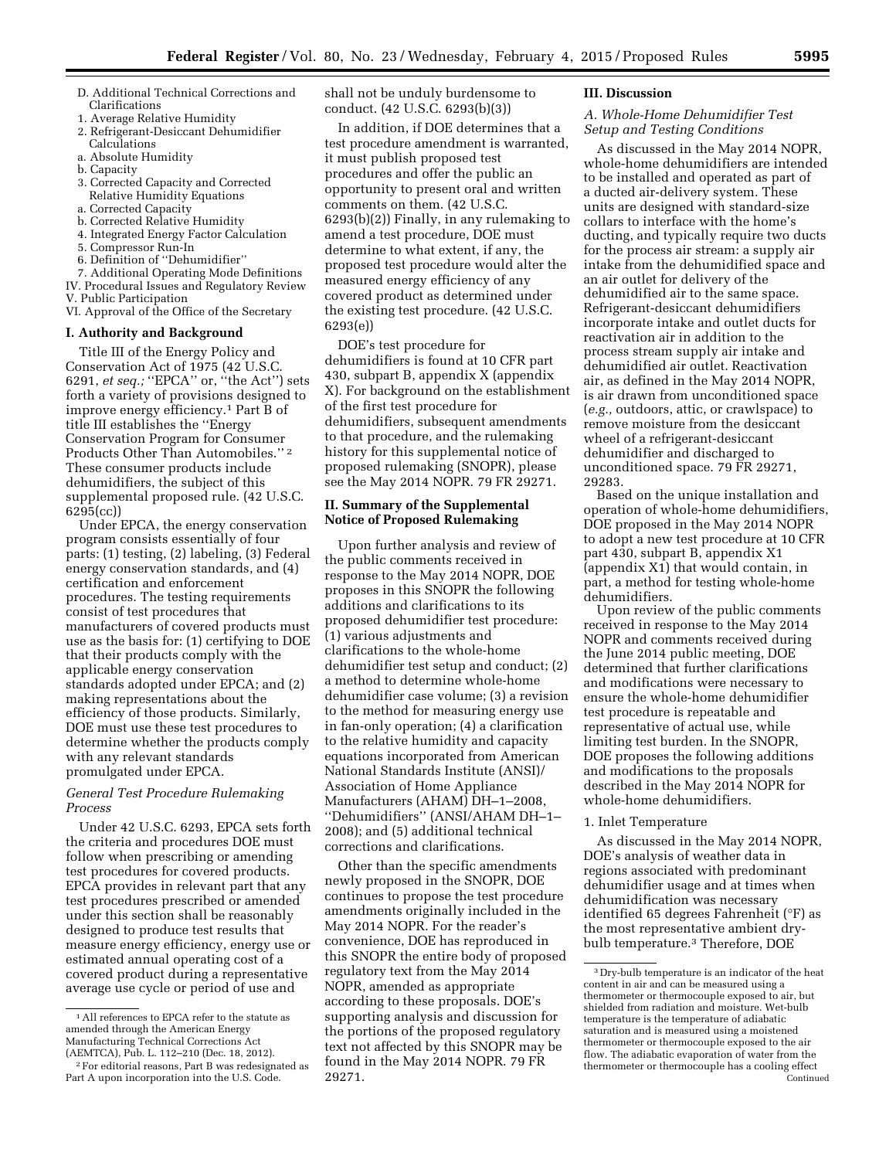- D. Additional Technical Corrections and Clarifications
- 1. Average Relative Humidity
- 2. Refrigerant-Desiccant Dehumidifier Calculations
- a. Absolute Humidity
- b. Capacity
- 3. Corrected Capacity and Corrected Relative Humidity Equations
- a. Corrected Capacity
- b. Corrected Relative Humidity
- 4. Integrated Energy Factor Calculation
- 5. Compressor Run-In
- 6. Definition of ''Dehumidifier''
- 7. Additional Operating Mode Definitions IV. Procedural Issues and Regulatory Review
- V. Public Participation
- VI. Approval of the Office of the Secretary

## **I. Authority and Background**

Title III of the Energy Policy and Conservation Act of 1975 (42 U.S.C. 6291, *et seq.;* ''EPCA'' or, ''the Act'') sets forth a variety of provisions designed to improve energy efficiency.<sup>1</sup> Part B of title III establishes the ''Energy Conservation Program for Consumer Products Other Than Automobiles.'' 2 These consumer products include dehumidifiers, the subject of this supplemental proposed rule. (42 U.S.C. 6295(cc))

Under EPCA, the energy conservation program consists essentially of four parts: (1) testing, (2) labeling, (3) Federal energy conservation standards, and (4) certification and enforcement procedures. The testing requirements consist of test procedures that manufacturers of covered products must use as the basis for: (1) certifying to DOE that their products comply with the applicable energy conservation standards adopted under EPCA; and (2) making representations about the efficiency of those products. Similarly, DOE must use these test procedures to determine whether the products comply with any relevant standards promulgated under EPCA.

# *General Test Procedure Rulemaking Process*

Under 42 U.S.C. 6293, EPCA sets forth the criteria and procedures DOE must follow when prescribing or amending test procedures for covered products. EPCA provides in relevant part that any test procedures prescribed or amended under this section shall be reasonably designed to produce test results that measure energy efficiency, energy use or estimated annual operating cost of a covered product during a representative average use cycle or period of use and

shall not be unduly burdensome to conduct. (42 U.S.C. 6293(b)(3))

In addition, if DOE determines that a test procedure amendment is warranted, it must publish proposed test procedures and offer the public an opportunity to present oral and written comments on them. (42 U.S.C. 6293(b)(2)) Finally, in any rulemaking to amend a test procedure, DOE must determine to what extent, if any, the proposed test procedure would alter the measured energy efficiency of any covered product as determined under the existing test procedure. (42 U.S.C. 6293(e))

DOE's test procedure for dehumidifiers is found at 10 CFR part 430, subpart B, appendix X (appendix X). For background on the establishment of the first test procedure for dehumidifiers, subsequent amendments to that procedure, and the rulemaking history for this supplemental notice of proposed rulemaking (SNOPR), please see the May 2014 NOPR. 79 FR 29271.

# **II. Summary of the Supplemental Notice of Proposed Rulemaking**

Upon further analysis and review of the public comments received in response to the May 2014 NOPR, DOE proposes in this SNOPR the following additions and clarifications to its proposed dehumidifier test procedure: (1) various adjustments and clarifications to the whole-home dehumidifier test setup and conduct; (2) a method to determine whole-home dehumidifier case volume; (3) a revision to the method for measuring energy use in fan-only operation; (4) a clarification to the relative humidity and capacity equations incorporated from American National Standards Institute (ANSI)/ Association of Home Appliance Manufacturers (AHAM) DH–1–2008, ''Dehumidifiers'' (ANSI/AHAM DH–1– 2008); and (5) additional technical corrections and clarifications.

Other than the specific amendments newly proposed in the SNOPR, DOE continues to propose the test procedure amendments originally included in the May 2014 NOPR. For the reader's convenience, DOE has reproduced in this SNOPR the entire body of proposed regulatory text from the May 2014 NOPR, amended as appropriate according to these proposals. DOE's supporting analysis and discussion for the portions of the proposed regulatory text not affected by this SNOPR may be found in the May 2014 NOPR. 79 FR 29271.

#### **III. Discussion**

## *A. Whole-Home Dehumidifier Test Setup and Testing Conditions*

As discussed in the May 2014 NOPR, whole-home dehumidifiers are intended to be installed and operated as part of a ducted air-delivery system. These units are designed with standard-size collars to interface with the home's ducting, and typically require two ducts for the process air stream: a supply air intake from the dehumidified space and an air outlet for delivery of the dehumidified air to the same space. Refrigerant-desiccant dehumidifiers incorporate intake and outlet ducts for reactivation air in addition to the process stream supply air intake and dehumidified air outlet. Reactivation air, as defined in the May 2014 NOPR, is air drawn from unconditioned space (*e.g.,* outdoors, attic, or crawlspace) to remove moisture from the desiccant wheel of a refrigerant-desiccant dehumidifier and discharged to unconditioned space. 79 FR 29271, 29283.

Based on the unique installation and operation of whole-home dehumidifiers, DOE proposed in the May 2014 NOPR to adopt a new test procedure at 10 CFR part 430, subpart B, appendix X1 (appendix X1) that would contain, in part, a method for testing whole-home dehumidifiers.

Upon review of the public comments received in response to the May 2014 NOPR and comments received during the June 2014 public meeting, DOE determined that further clarifications and modifications were necessary to ensure the whole-home dehumidifier test procedure is repeatable and representative of actual use, while limiting test burden. In the SNOPR, DOE proposes the following additions and modifications to the proposals described in the May 2014 NOPR for whole-home dehumidifiers.

#### 1. Inlet Temperature

As discussed in the May 2014 NOPR, DOE's analysis of weather data in regions associated with predominant dehumidifier usage and at times when dehumidification was necessary identified 65 degrees Fahrenheit (°F) as the most representative ambient drybulb temperature.3 Therefore, DOE

<sup>1</sup>All references to EPCA refer to the statute as amended through the American Energy Manufacturing Technical Corrections Act (AEMTCA), Pub. L. 112–210 (Dec. 18, 2012).

<sup>2</sup>For editorial reasons, Part B was redesignated as Part A upon incorporation into the U.S. Code.

<sup>3</sup> Dry-bulb temperature is an indicator of the heat content in air and can be measured using a thermometer or thermocouple exposed to air, but shielded from radiation and moisture. Wet-bulb temperature is the temperature of adiabatic saturation and is measured using a moistened thermometer or thermocouple exposed to the air flow. The adiabatic evaporation of water from the thermometer or thermocouple has a cooling effect Continued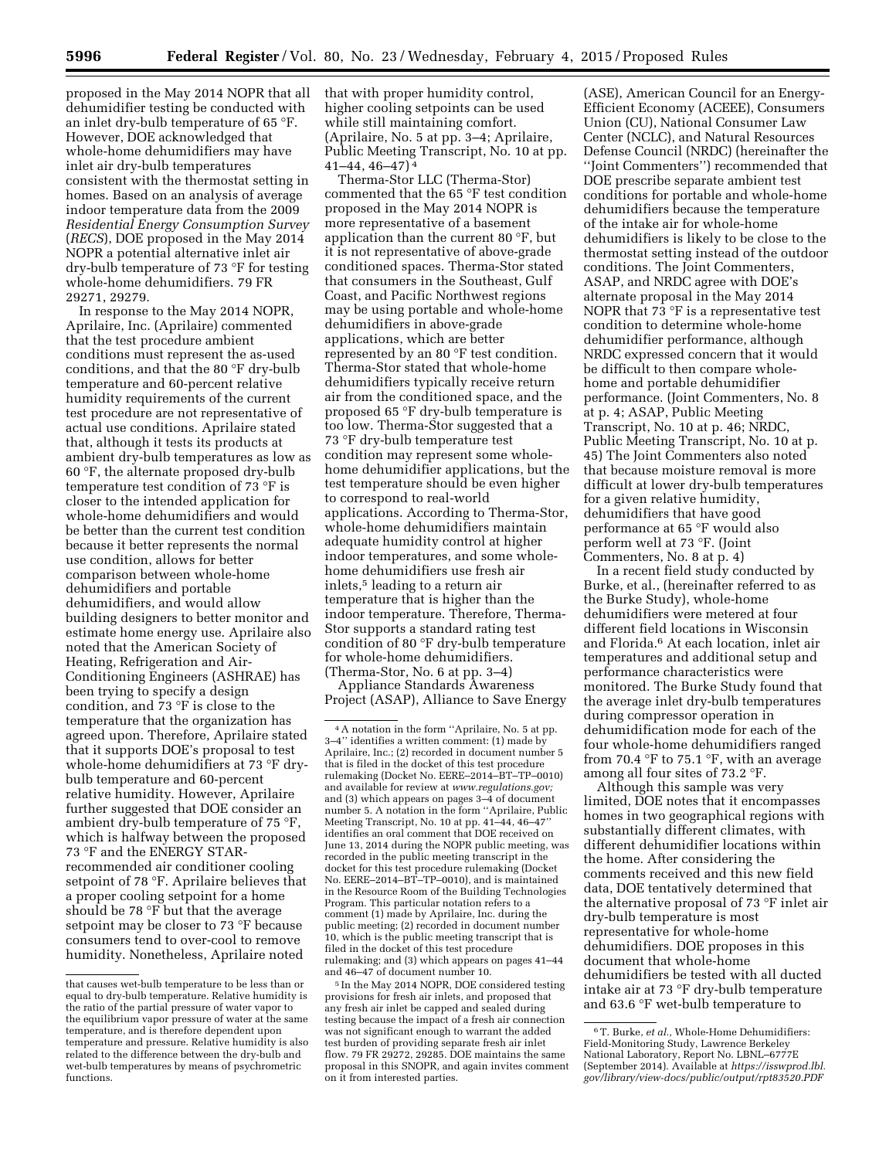proposed in the May 2014 NOPR that all dehumidifier testing be conducted with an inlet dry-bulb temperature of 65 °F. However, DOE acknowledged that whole-home dehumidifiers may have inlet air dry-bulb temperatures consistent with the thermostat setting in homes. Based on an analysis of average indoor temperature data from the 2009 *Residential Energy Consumption Survey*  (*RECS*), DOE proposed in the May 2014 NOPR a potential alternative inlet air dry-bulb temperature of 73 °F for testing whole-home dehumidifiers. 79 FR 29271, 29279.

In response to the May 2014 NOPR, Aprilaire, Inc. (Aprilaire) commented that the test procedure ambient conditions must represent the as-used conditions, and that the 80 °F dry-bulb temperature and 60-percent relative humidity requirements of the current test procedure are not representative of actual use conditions. Aprilaire stated that, although it tests its products at ambient dry-bulb temperatures as low as 60 °F, the alternate proposed dry-bulb temperature test condition of 73 °F is closer to the intended application for whole-home dehumidifiers and would be better than the current test condition because it better represents the normal use condition, allows for better comparison between whole-home dehumidifiers and portable dehumidifiers, and would allow building designers to better monitor and estimate home energy use. Aprilaire also noted that the American Society of Heating, Refrigeration and Air-Conditioning Engineers (ASHRAE) has been trying to specify a design condition, and 73 °F is close to the temperature that the organization has agreed upon. Therefore, Aprilaire stated that it supports DOE's proposal to test whole-home dehumidifiers at 73 °F drybulb temperature and 60-percent relative humidity. However, Aprilaire further suggested that DOE consider an ambient dry-bulb temperature of 75 °F, which is halfway between the proposed 73 °F and the ENERGY STARrecommended air conditioner cooling setpoint of 78 °F. Aprilaire believes that a proper cooling setpoint for a home should be 78 °F but that the average setpoint may be closer to 73 °F because consumers tend to over-cool to remove humidity. Nonetheless, Aprilaire noted

that with proper humidity control, higher cooling setpoints can be used while still maintaining comfort. (Aprilaire, No. 5 at pp. 3–4; Aprilaire, Public Meeting Transcript, No. 10 at pp. 41–44, 46–47) 4

Therma-Stor LLC (Therma-Stor) commented that the 65 °F test condition proposed in the May 2014 NOPR is more representative of a basement application than the current 80 °F, but it is not representative of above-grade conditioned spaces. Therma-Stor stated that consumers in the Southeast, Gulf Coast, and Pacific Northwest regions may be using portable and whole-home dehumidifiers in above-grade applications, which are better represented by an 80 °F test condition. Therma-Stor stated that whole-home dehumidifiers typically receive return air from the conditioned space, and the proposed 65 °F dry-bulb temperature is too low. Therma-Stor suggested that a 73 °F dry-bulb temperature test condition may represent some wholehome dehumidifier applications, but the test temperature should be even higher to correspond to real-world applications. According to Therma-Stor, whole-home dehumidifiers maintain adequate humidity control at higher indoor temperatures, and some wholehome dehumidifiers use fresh air inlets,5 leading to a return air temperature that is higher than the indoor temperature. Therefore, Therma-Stor supports a standard rating test condition of 80 °F dry-bulb temperature for whole-home dehumidifiers. (Therma-Stor, No. 6 at pp. 3–4)

Appliance Standards Awareness Project (ASAP), Alliance to Save Energy

5 In the May 2014 NOPR, DOE considered testing provisions for fresh air inlets, and proposed that any fresh air inlet be capped and sealed during testing because the impact of a fresh air connection was not significant enough to warrant the added test burden of providing separate fresh air inlet flow. 79 FR 29272, 29285. DOE maintains the same proposal in this SNOPR, and again invites comment on it from interested parties.

(ASE), American Council for an Energy-Efficient Economy (ACEEE), Consumers Union (CU), National Consumer Law Center (NCLC), and Natural Resources Defense Council (NRDC) (hereinafter the ''Joint Commenters'') recommended that DOE prescribe separate ambient test conditions for portable and whole-home dehumidifiers because the temperature of the intake air for whole-home dehumidifiers is likely to be close to the thermostat setting instead of the outdoor conditions. The Joint Commenters, ASAP, and NRDC agree with DOE's alternate proposal in the May 2014 NOPR that 73 °F is a representative test condition to determine whole-home dehumidifier performance, although NRDC expressed concern that it would be difficult to then compare wholehome and portable dehumidifier performance. (Joint Commenters, No. 8 at p. 4; ASAP, Public Meeting Transcript, No. 10 at p. 46; NRDC, Public Meeting Transcript, No. 10 at p. 45) The Joint Commenters also noted that because moisture removal is more difficult at lower dry-bulb temperatures for a given relative humidity, dehumidifiers that have good performance at 65 °F would also perform well at 73 °F. (Joint Commenters, No. 8 at p. 4)

In a recent field study conducted by Burke, et al., (hereinafter referred to as the Burke Study), whole-home dehumidifiers were metered at four different field locations in Wisconsin and Florida.6 At each location, inlet air temperatures and additional setup and performance characteristics were monitored. The Burke Study found that the average inlet dry-bulb temperatures during compressor operation in dehumidification mode for each of the four whole-home dehumidifiers ranged from 70.4 °F to 75.1 °F, with an average among all four sites of 73.2 °F.

Although this sample was very limited, DOE notes that it encompasses homes in two geographical regions with substantially different climates, with different dehumidifier locations within the home. After considering the comments received and this new field data, DOE tentatively determined that the alternative proposal of 73 °F inlet air dry-bulb temperature is most representative for whole-home dehumidifiers. DOE proposes in this document that whole-home dehumidifiers be tested with all ducted intake air at 73 °F dry-bulb temperature and 63.6 °F wet-bulb temperature to

that causes wet-bulb temperature to be less than or equal to dry-bulb temperature. Relative humidity is the ratio of the partial pressure of water vapor to the equilibrium vapor pressure of water at the same temperature, and is therefore dependent upon temperature and pressure. Relative humidity is also related to the difference between the dry-bulb and wet-bulb temperatures by means of psychrometric functions.

<sup>4</sup>A notation in the form ''Aprilaire, No. 5 at pp. 3–4'' identifies a written comment: (1) made by Aprilaire, Inc.; (2) recorded in document number 5 that is filed in the docket of this test procedure rulemaking (Docket No. EERE–2014–BT–TP–0010) and available for review at *[www.regulations.gov;](http://www.regulations.gov)*  and (3) which appears on pages 3–4 of document number 5. A notation in the form ''Aprilaire, Public Meeting Transcript, No. 10 at pp. 41–44, 46–47'' identifies an oral comment that DOE received on June 13, 2014 during the NOPR public meeting, was recorded in the public meeting transcript in the docket for this test procedure rulemaking (Docket No. EERE–2014–BT–TP–0010), and is maintained in the Resource Room of the Building Technologies Program. This particular notation refers to a comment (1) made by Aprilaire, Inc. during the public meeting; (2) recorded in document number 10, which is the public meeting transcript that is filed in the docket of this test procedure rulemaking; and (3) which appears on pages 41–44 and 46–47 of document number 10.

<sup>6</sup>T. Burke, *et al.,* Whole-Home Dehumidifiers: Field-Monitoring Study, Lawrence Berkeley National Laboratory, Report No. LBNL–6777E (September 2014). Available at *[https://isswprod.lbl.](https://isswprod.lbl.gov/library/view-docs/public/output/rpt83520.PDF) [gov/library/view-docs/public/output/rpt83520.PDF](https://isswprod.lbl.gov/library/view-docs/public/output/rpt83520.PDF)*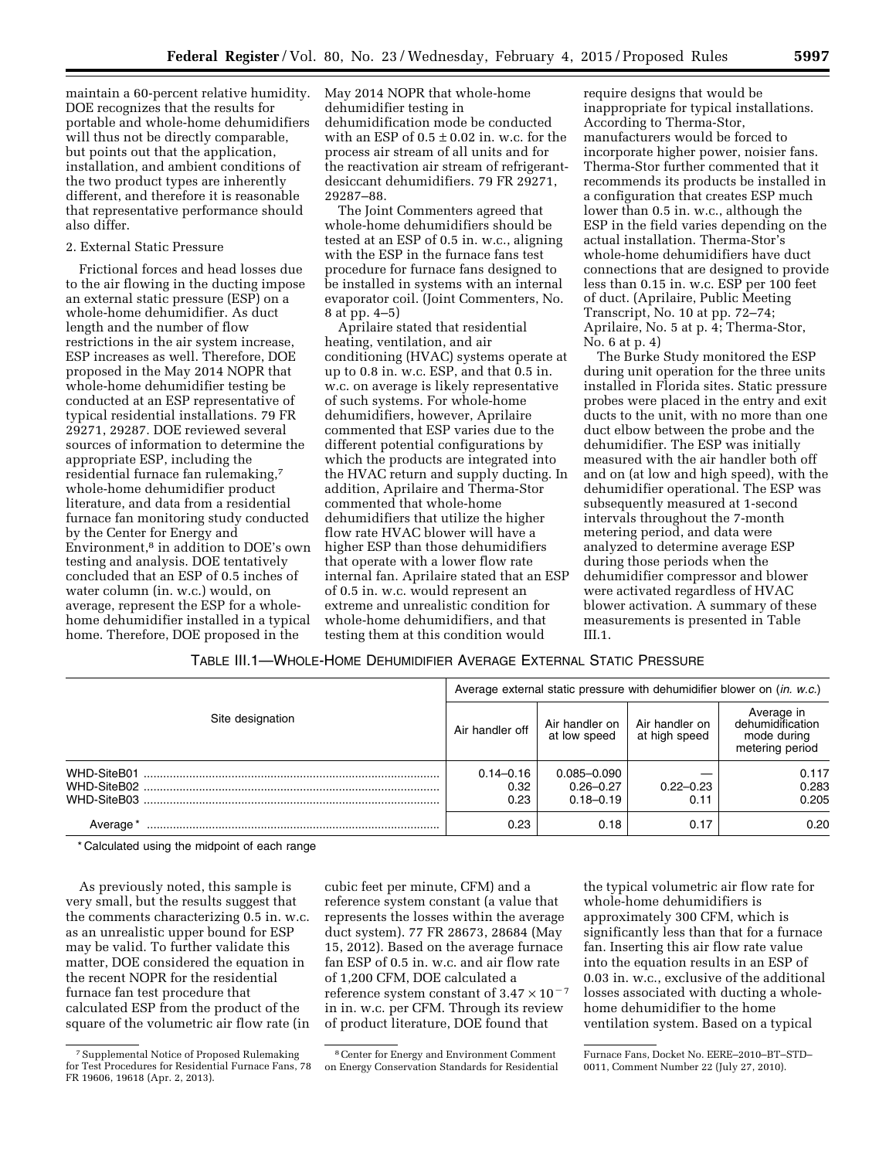maintain a 60-percent relative humidity. DOE recognizes that the results for portable and whole-home dehumidifiers will thus not be directly comparable, but points out that the application, installation, and ambient conditions of the two product types are inherently different, and therefore it is reasonable that representative performance should also differ.

#### 2. External Static Pressure

Frictional forces and head losses due to the air flowing in the ducting impose an external static pressure (ESP) on a whole-home dehumidifier. As duct length and the number of flow restrictions in the air system increase, ESP increases as well. Therefore, DOE proposed in the May 2014 NOPR that whole-home dehumidifier testing be conducted at an ESP representative of typical residential installations. 79 FR 29271, 29287. DOE reviewed several sources of information to determine the appropriate ESP, including the residential furnace fan rulemaking,7 whole-home dehumidifier product literature, and data from a residential furnace fan monitoring study conducted by the Center for Energy and Environment,8 in addition to DOE's own testing and analysis. DOE tentatively concluded that an ESP of 0.5 inches of water column (in. w.c.) would, on average, represent the ESP for a wholehome dehumidifier installed in a typical home. Therefore, DOE proposed in the

May 2014 NOPR that whole-home dehumidifier testing in dehumidification mode be conducted with an ESP of  $0.5 \pm 0.02$  in. w.c. for the process air stream of all units and for the reactivation air stream of refrigerantdesiccant dehumidifiers. 79 FR 29271, 29287–88.

The Joint Commenters agreed that whole-home dehumidifiers should be tested at an ESP of 0.5 in. w.c., aligning with the ESP in the furnace fans test procedure for furnace fans designed to be installed in systems with an internal evaporator coil. (Joint Commenters, No. 8 at pp. 4–5)

Aprilaire stated that residential heating, ventilation, and air conditioning (HVAC) systems operate at up to 0.8 in. w.c. ESP, and that 0.5 in. w.c. on average is likely representative of such systems. For whole-home dehumidifiers, however, Aprilaire commented that ESP varies due to the different potential configurations by which the products are integrated into the HVAC return and supply ducting. In addition, Aprilaire and Therma-Stor commented that whole-home dehumidifiers that utilize the higher flow rate HVAC blower will have a higher ESP than those dehumidifiers that operate with a lower flow rate internal fan. Aprilaire stated that an ESP of 0.5 in. w.c. would represent an extreme and unrealistic condition for whole-home dehumidifiers, and that testing them at this condition would

require designs that would be inappropriate for typical installations. According to Therma-Stor, manufacturers would be forced to incorporate higher power, noisier fans. Therma-Stor further commented that it recommends its products be installed in a configuration that creates ESP much lower than 0.5 in. w.c., although the ESP in the field varies depending on the actual installation. Therma-Stor's whole-home dehumidifiers have duct connections that are designed to provide less than 0.15 in. w.c. ESP per 100 feet of duct. (Aprilaire, Public Meeting Transcript, No. 10 at pp. 72–74; Aprilaire, No. 5 at p. 4; Therma-Stor, No. 6 at p. 4)

The Burke Study monitored the ESP during unit operation for the three units installed in Florida sites. Static pressure probes were placed in the entry and exit ducts to the unit, with no more than one duct elbow between the probe and the dehumidifier. The ESP was initially measured with the air handler both off and on (at low and high speed), with the dehumidifier operational. The ESP was subsequently measured at 1-second intervals throughout the 7-month metering period, and data were analyzed to determine average ESP during those periods when the dehumidifier compressor and blower were activated regardless of HVAC blower activation. A summary of these measurements is presented in Table III.1.

# TABLE III.1—WHOLE-HOME DEHUMIDIFIER AVERAGE EXTERNAL STATIC PRESSURE

|                            | Average external static pressure with dehumidifier blower on (in. w.c.) |                                                   |                                 |                                                                  |  |  |  |  |
|----------------------------|-------------------------------------------------------------------------|---------------------------------------------------|---------------------------------|------------------------------------------------------------------|--|--|--|--|
| Site designation           | Air handler off                                                         | Air handler on<br>at low speed                    | Air handler on<br>at high speed | Average in<br>dehumidification<br>mode during<br>metering period |  |  |  |  |
| WHD-SiteB01<br>WHD-SiteB03 | $0.14 - 0.16$<br>0.32<br>0.23                                           | $0.085 - 0.090$<br>$0.26 - 0.27$<br>$0.18 - 0.19$ | $0.22 - 0.23$<br>0.11           | 0.117<br>0.283<br>0.205                                          |  |  |  |  |
| Average <sup>*</sup>       | 0.23                                                                    | 0.18                                              | 0.17                            | 0.20                                                             |  |  |  |  |

\* Calculated using the midpoint of each range

As previously noted, this sample is very small, but the results suggest that the comments characterizing 0.5 in. w.c. as an unrealistic upper bound for ESP may be valid. To further validate this matter, DOE considered the equation in the recent NOPR for the residential furnace fan test procedure that calculated ESP from the product of the square of the volumetric air flow rate (in

cubic feet per minute, CFM) and a reference system constant (a value that represents the losses within the average duct system). 77 FR 28673, 28684 (May 15, 2012). Based on the average furnace fan ESP of 0.5 in. w.c. and air flow rate of 1,200 CFM, DOE calculated a reference system constant of  $3.47 \times 10^{-7}$ in in. w.c. per CFM. Through its review of product literature, DOE found that

the typical volumetric air flow rate for whole-home dehumidifiers is approximately 300 CFM, which is significantly less than that for a furnace fan. Inserting this air flow rate value into the equation results in an ESP of 0.03 in. w.c., exclusive of the additional losses associated with ducting a wholehome dehumidifier to the home ventilation system. Based on a typical

<sup>7</sup>Supplemental Notice of Proposed Rulemaking for Test Procedures for Residential Furnace Fans, 78 FR 19606, 19618 (Apr. 2, 2013).

<sup>8</sup>Center for Energy and Environment Comment on Energy Conservation Standards for Residential

Furnace Fans, Docket No. EERE–2010–BT–STD– 0011, Comment Number 22 (July 27, 2010).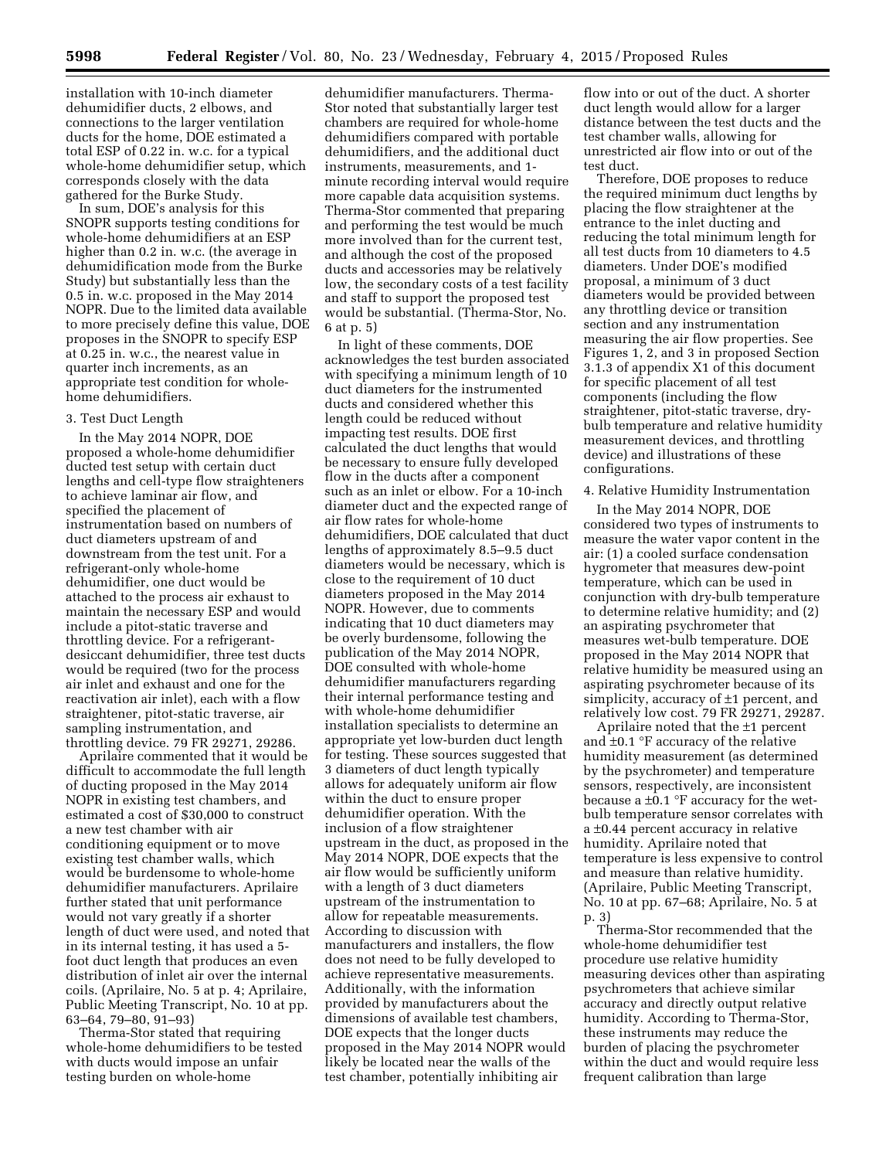installation with 10-inch diameter dehumidifier ducts, 2 elbows, and connections to the larger ventilation ducts for the home, DOE estimated a total ESP of 0.22 in. w.c. for a typical whole-home dehumidifier setup, which corresponds closely with the data gathered for the Burke Study.

In sum, DOE's analysis for this SNOPR supports testing conditions for whole-home dehumidifiers at an ESP higher than 0.2 in. w.c. (the average in dehumidification mode from the Burke Study) but substantially less than the 0.5 in. w.c. proposed in the May 2014 NOPR. Due to the limited data available to more precisely define this value, DOE proposes in the SNOPR to specify ESP at 0.25 in. w.c., the nearest value in quarter inch increments, as an appropriate test condition for wholehome dehumidifiers.

### 3. Test Duct Length

In the May 2014 NOPR, DOE proposed a whole-home dehumidifier ducted test setup with certain duct lengths and cell-type flow straighteners to achieve laminar air flow, and specified the placement of instrumentation based on numbers of duct diameters upstream of and downstream from the test unit. For a refrigerant-only whole-home dehumidifier, one duct would be attached to the process air exhaust to maintain the necessary ESP and would include a pitot-static traverse and throttling device. For a refrigerantdesiccant dehumidifier, three test ducts would be required (two for the process air inlet and exhaust and one for the reactivation air inlet), each with a flow straightener, pitot-static traverse, air sampling instrumentation, and throttling device. 79 FR 29271, 29286.

Aprilaire commented that it would be difficult to accommodate the full length of ducting proposed in the May 2014 NOPR in existing test chambers, and estimated a cost of \$30,000 to construct a new test chamber with air conditioning equipment or to move existing test chamber walls, which would be burdensome to whole-home dehumidifier manufacturers. Aprilaire further stated that unit performance would not vary greatly if a shorter length of duct were used, and noted that in its internal testing, it has used a 5 foot duct length that produces an even distribution of inlet air over the internal coils. (Aprilaire, No. 5 at p. 4; Aprilaire, Public Meeting Transcript, No. 10 at pp. 63–64, 79–80, 91–93)

Therma-Stor stated that requiring whole-home dehumidifiers to be tested with ducts would impose an unfair testing burden on whole-home

dehumidifier manufacturers. Therma-Stor noted that substantially larger test chambers are required for whole-home dehumidifiers compared with portable dehumidifiers, and the additional duct instruments, measurements, and 1 minute recording interval would require more capable data acquisition systems. Therma-Stor commented that preparing and performing the test would be much more involved than for the current test, and although the cost of the proposed ducts and accessories may be relatively low, the secondary costs of a test facility and staff to support the proposed test would be substantial. (Therma-Stor, No. 6 at p. 5)

In light of these comments, DOE acknowledges the test burden associated with specifying a minimum length of 10 duct diameters for the instrumented ducts and considered whether this length could be reduced without impacting test results. DOE first calculated the duct lengths that would be necessary to ensure fully developed flow in the ducts after a component such as an inlet or elbow. For a 10-inch diameter duct and the expected range of air flow rates for whole-home dehumidifiers, DOE calculated that duct lengths of approximately 8.5–9.5 duct diameters would be necessary, which is close to the requirement of 10 duct diameters proposed in the May 2014 NOPR. However, due to comments indicating that 10 duct diameters may be overly burdensome, following the publication of the May 2014 NOPR, DOE consulted with whole-home dehumidifier manufacturers regarding their internal performance testing and with whole-home dehumidifier installation specialists to determine an appropriate yet low-burden duct length for testing. These sources suggested that 3 diameters of duct length typically allows for adequately uniform air flow within the duct to ensure proper dehumidifier operation. With the inclusion of a flow straightener upstream in the duct, as proposed in the May 2014 NOPR, DOE expects that the air flow would be sufficiently uniform with a length of 3 duct diameters upstream of the instrumentation to allow for repeatable measurements. According to discussion with manufacturers and installers, the flow does not need to be fully developed to achieve representative measurements. Additionally, with the information provided by manufacturers about the dimensions of available test chambers, DOE expects that the longer ducts proposed in the May 2014 NOPR would likely be located near the walls of the test chamber, potentially inhibiting air

flow into or out of the duct. A shorter duct length would allow for a larger distance between the test ducts and the test chamber walls, allowing for unrestricted air flow into or out of the test duct.

Therefore, DOE proposes to reduce the required minimum duct lengths by placing the flow straightener at the entrance to the inlet ducting and reducing the total minimum length for all test ducts from 10 diameters to 4.5 diameters. Under DOE's modified proposal, a minimum of 3 duct diameters would be provided between any throttling device or transition section and any instrumentation measuring the air flow properties. See Figures 1, 2, and 3 in proposed Section 3.1.3 of appendix X1 of this document for specific placement of all test components (including the flow straightener, pitot-static traverse, drybulb temperature and relative humidity measurement devices, and throttling device) and illustrations of these configurations.

### 4. Relative Humidity Instrumentation

In the May 2014 NOPR, DOE considered two types of instruments to measure the water vapor content in the air: (1) a cooled surface condensation hygrometer that measures dew-point temperature, which can be used in conjunction with dry-bulb temperature to determine relative humidity; and (2) an aspirating psychrometer that measures wet-bulb temperature. DOE proposed in the May 2014 NOPR that relative humidity be measured using an aspirating psychrometer because of its simplicity, accuracy of ±1 percent, and relatively low cost. 79 FR 29271, 29287.

Aprilaire noted that the ±1 percent and ±0.1 °F accuracy of the relative humidity measurement (as determined by the psychrometer) and temperature sensors, respectively, are inconsistent because a  $\pm 0.1$  °F accuracy for the wetbulb temperature sensor correlates with a ±0.44 percent accuracy in relative humidity. Aprilaire noted that temperature is less expensive to control and measure than relative humidity. (Aprilaire, Public Meeting Transcript, No. 10 at pp. 67–68; Aprilaire, No. 5 at p. 3)

Therma-Stor recommended that the whole-home dehumidifier test procedure use relative humidity measuring devices other than aspirating psychrometers that achieve similar accuracy and directly output relative humidity. According to Therma-Stor, these instruments may reduce the burden of placing the psychrometer within the duct and would require less frequent calibration than large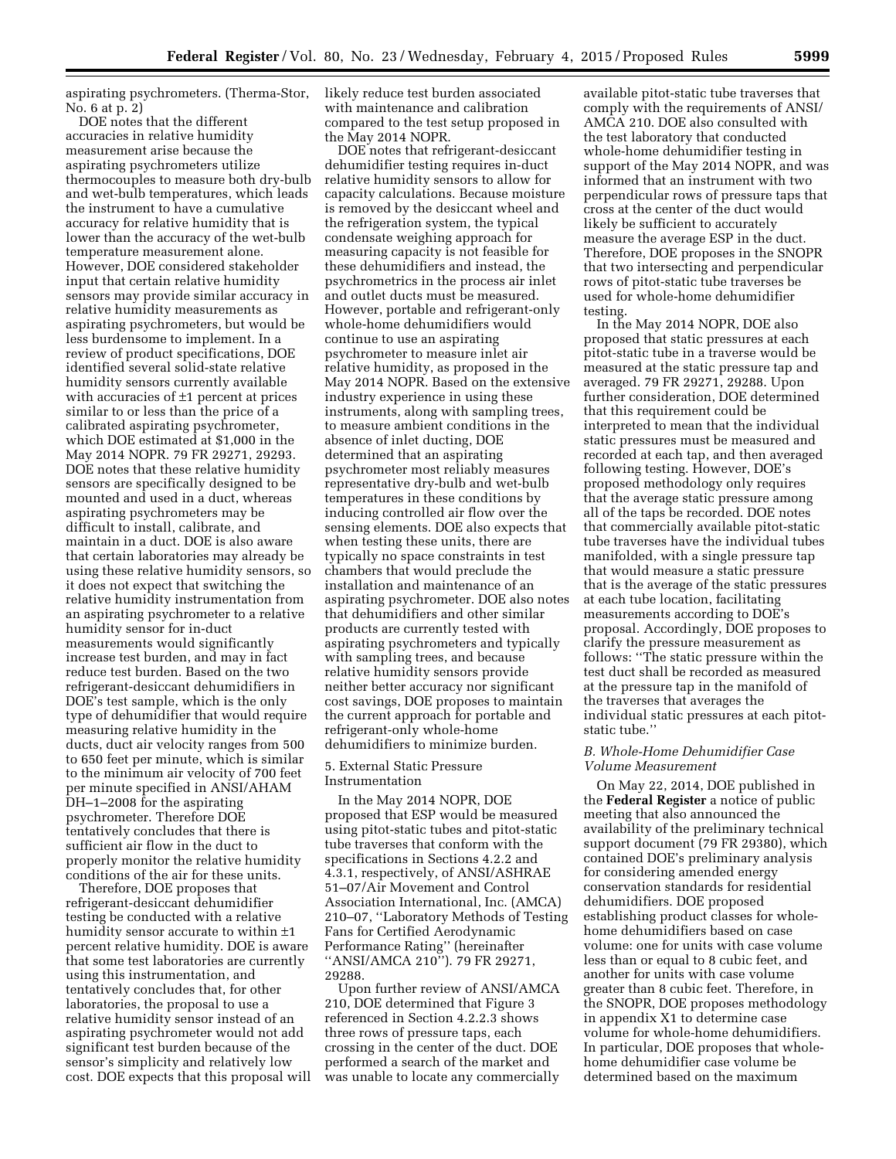aspirating psychrometers. (Therma-Stor, No. 6 at p. 2)

DOE notes that the different accuracies in relative humidity measurement arise because the aspirating psychrometers utilize thermocouples to measure both dry-bulb and wet-bulb temperatures, which leads the instrument to have a cumulative accuracy for relative humidity that is lower than the accuracy of the wet-bulb temperature measurement alone. However, DOE considered stakeholder input that certain relative humidity sensors may provide similar accuracy in relative humidity measurements as aspirating psychrometers, but would be less burdensome to implement. In a review of product specifications, DOE identified several solid-state relative humidity sensors currently available with accuracies of  $\pm 1$  percent at prices similar to or less than the price of a calibrated aspirating psychrometer, which DOE estimated at \$1,000 in the May 2014 NOPR. 79 FR 29271, 29293. DOE notes that these relative humidity sensors are specifically designed to be mounted and used in a duct, whereas aspirating psychrometers may be difficult to install, calibrate, and maintain in a duct. DOE is also aware that certain laboratories may already be using these relative humidity sensors, so it does not expect that switching the relative humidity instrumentation from an aspirating psychrometer to a relative humidity sensor for in-duct measurements would significantly increase test burden, and may in fact reduce test burden. Based on the two refrigerant-desiccant dehumidifiers in DOE's test sample, which is the only type of dehumidifier that would require measuring relative humidity in the ducts, duct air velocity ranges from 500 to 650 feet per minute, which is similar to the minimum air velocity of 700 feet per minute specified in ANSI/AHAM DH–1–2008 for the aspirating psychrometer. Therefore DOE tentatively concludes that there is sufficient air flow in the duct to properly monitor the relative humidity conditions of the air for these units.

Therefore, DOE proposes that refrigerant-desiccant dehumidifier testing be conducted with a relative humidity sensor accurate to within ±1 percent relative humidity. DOE is aware that some test laboratories are currently using this instrumentation, and tentatively concludes that, for other laboratories, the proposal to use a relative humidity sensor instead of an aspirating psychrometer would not add significant test burden because of the sensor's simplicity and relatively low cost. DOE expects that this proposal will likely reduce test burden associated with maintenance and calibration compared to the test setup proposed in the May 2014 NOPR.

DOE notes that refrigerant-desiccant dehumidifier testing requires in-duct relative humidity sensors to allow for capacity calculations. Because moisture is removed by the desiccant wheel and the refrigeration system, the typical condensate weighing approach for measuring capacity is not feasible for these dehumidifiers and instead, the psychrometrics in the process air inlet and outlet ducts must be measured. However, portable and refrigerant-only whole-home dehumidifiers would continue to use an aspirating psychrometer to measure inlet air relative humidity, as proposed in the May 2014 NOPR. Based on the extensive industry experience in using these instruments, along with sampling trees, to measure ambient conditions in the absence of inlet ducting, DOE determined that an aspirating psychrometer most reliably measures representative dry-bulb and wet-bulb temperatures in these conditions by inducing controlled air flow over the sensing elements. DOE also expects that when testing these units, there are typically no space constraints in test chambers that would preclude the installation and maintenance of an aspirating psychrometer. DOE also notes that dehumidifiers and other similar products are currently tested with aspirating psychrometers and typically with sampling trees, and because relative humidity sensors provide neither better accuracy nor significant cost savings, DOE proposes to maintain the current approach for portable and refrigerant-only whole-home dehumidifiers to minimize burden.

# 5. External Static Pressure Instrumentation

In the May 2014 NOPR, DOE proposed that ESP would be measured using pitot-static tubes and pitot-static tube traverses that conform with the specifications in Sections 4.2.2 and 4.3.1, respectively, of ANSI/ASHRAE 51–07/Air Movement and Control Association International, Inc. (AMCA) 210–07, ''Laboratory Methods of Testing Fans for Certified Aerodynamic Performance Rating'' (hereinafter ''ANSI/AMCA 210''). 79 FR 29271, 29288.

Upon further review of ANSI/AMCA 210, DOE determined that Figure 3 referenced in Section 4.2.2.3 shows three rows of pressure taps, each crossing in the center of the duct. DOE performed a search of the market and was unable to locate any commercially

available pitot-static tube traverses that comply with the requirements of ANSI/ AMCA 210. DOE also consulted with the test laboratory that conducted whole-home dehumidifier testing in support of the May 2014 NOPR, and was informed that an instrument with two perpendicular rows of pressure taps that cross at the center of the duct would likely be sufficient to accurately measure the average ESP in the duct. Therefore, DOE proposes in the SNOPR that two intersecting and perpendicular rows of pitot-static tube traverses be used for whole-home dehumidifier testing.

In the May 2014 NOPR, DOE also proposed that static pressures at each pitot-static tube in a traverse would be measured at the static pressure tap and averaged. 79 FR 29271, 29288. Upon further consideration, DOE determined that this requirement could be interpreted to mean that the individual static pressures must be measured and recorded at each tap, and then averaged following testing. However, DOE's proposed methodology only requires that the average static pressure among all of the taps be recorded. DOE notes that commercially available pitot-static tube traverses have the individual tubes manifolded, with a single pressure tap that would measure a static pressure that is the average of the static pressures at each tube location, facilitating measurements according to DOE's proposal. Accordingly, DOE proposes to clarify the pressure measurement as follows: ''The static pressure within the test duct shall be recorded as measured at the pressure tap in the manifold of the traverses that averages the individual static pressures at each pitotstatic tube.''

## *B. Whole-Home Dehumidifier Case Volume Measurement*

On May 22, 2014, DOE published in the **Federal Register** a notice of public meeting that also announced the availability of the preliminary technical support document (79 FR 29380), which contained DOE's preliminary analysis for considering amended energy conservation standards for residential dehumidifiers. DOE proposed establishing product classes for wholehome dehumidifiers based on case volume: one for units with case volume less than or equal to 8 cubic feet, and another for units with case volume greater than 8 cubic feet. Therefore, in the SNOPR, DOE proposes methodology in appendix X1 to determine case volume for whole-home dehumidifiers. In particular, DOE proposes that wholehome dehumidifier case volume be determined based on the maximum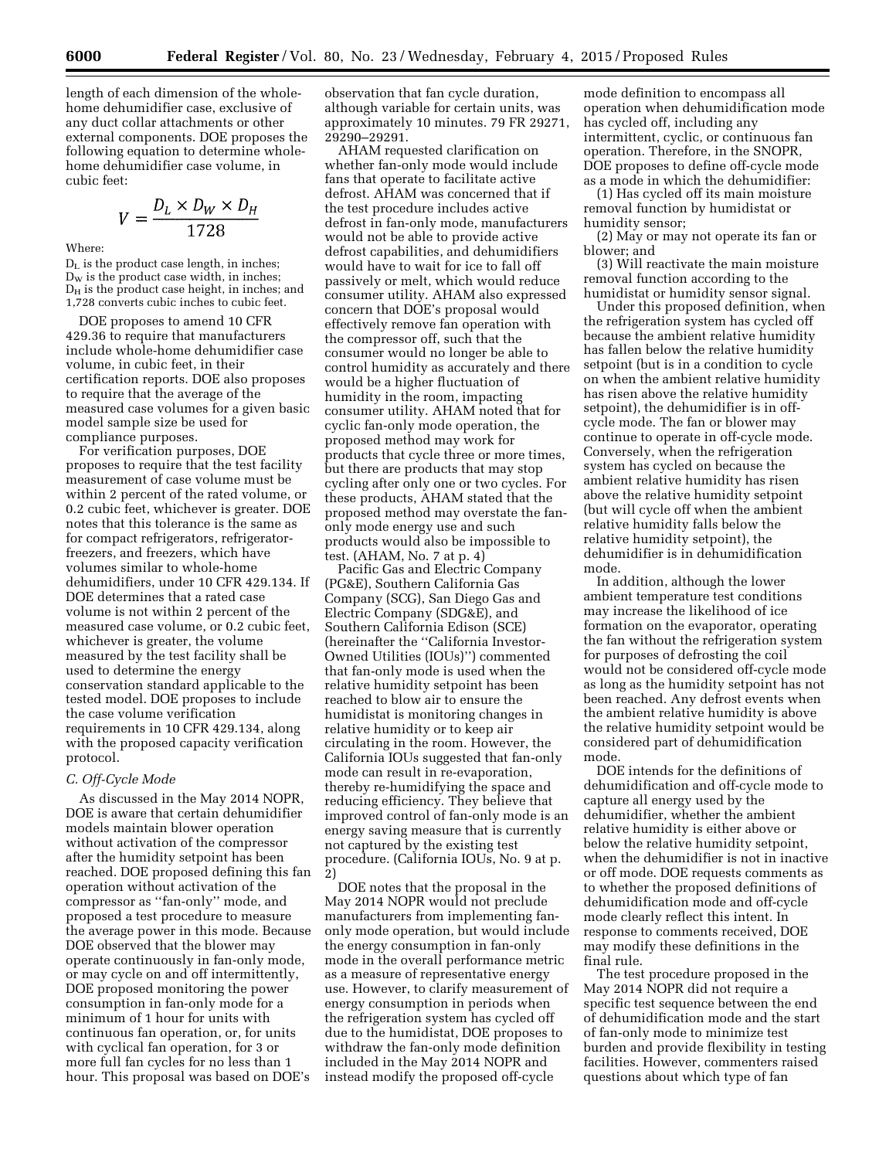length of each dimension of the wholehome dehumidifier case, exclusive of any duct collar attachments or other external components. DOE proposes the following equation to determine wholehome dehumidifier case volume, in cubic feet:

$$
V = \frac{D_L \times D_W \times D_H}{1728}
$$

Where:

DL is the product case length, in inches;  $D<sub>w</sub>$  is the product case width, in inches;  $D_H$  is the product case height, in inches; and 1,728 converts cubic inches to cubic feet.

DOE proposes to amend 10 CFR 429.36 to require that manufacturers include whole-home dehumidifier case volume, in cubic feet, in their certification reports. DOE also proposes to require that the average of the measured case volumes for a given basic model sample size be used for compliance purposes.

For verification purposes, DOE proposes to require that the test facility measurement of case volume must be within 2 percent of the rated volume, or 0.2 cubic feet, whichever is greater. DOE notes that this tolerance is the same as for compact refrigerators, refrigeratorfreezers, and freezers, which have volumes similar to whole-home dehumidifiers, under 10 CFR 429.134. If DOE determines that a rated case volume is not within 2 percent of the measured case volume, or 0.2 cubic feet, whichever is greater, the volume measured by the test facility shall be used to determine the energy conservation standard applicable to the tested model. DOE proposes to include the case volume verification requirements in 10 CFR 429.134, along with the proposed capacity verification protocol.

## *C. Off-Cycle Mode*

As discussed in the May 2014 NOPR, DOE is aware that certain dehumidifier models maintain blower operation without activation of the compressor after the humidity setpoint has been reached. DOE proposed defining this fan operation without activation of the compressor as ''fan-only'' mode, and proposed a test procedure to measure the average power in this mode. Because DOE observed that the blower may operate continuously in fan-only mode, or may cycle on and off intermittently, DOE proposed monitoring the power consumption in fan-only mode for a minimum of 1 hour for units with continuous fan operation, or, for units with cyclical fan operation, for 3 or more full fan cycles for no less than 1 hour. This proposal was based on DOE's

observation that fan cycle duration, although variable for certain units, was approximately 10 minutes. 79 FR 29271, 29290–29291.

AHAM requested clarification on whether fan-only mode would include fans that operate to facilitate active defrost. AHAM was concerned that if the test procedure includes active defrost in fan-only mode, manufacturers would not be able to provide active defrost capabilities, and dehumidifiers would have to wait for ice to fall off passively or melt, which would reduce consumer utility. AHAM also expressed concern that DOE's proposal would effectively remove fan operation with the compressor off, such that the consumer would no longer be able to control humidity as accurately and there would be a higher fluctuation of humidity in the room, impacting consumer utility. AHAM noted that for cyclic fan-only mode operation, the proposed method may work for products that cycle three or more times, but there are products that may stop cycling after only one or two cycles. For these products, AHAM stated that the proposed method may overstate the fanonly mode energy use and such products would also be impossible to test. (AHAM, No. 7 at p. 4)

Pacific Gas and Electric Company (PG&E), Southern California Gas Company (SCG), San Diego Gas and Electric Company (SDG&E), and Southern California Edison (SCE) (hereinafter the ''California Investor-Owned Utilities (IOUs)'') commented that fan-only mode is used when the relative humidity setpoint has been reached to blow air to ensure the humidistat is monitoring changes in relative humidity or to keep air circulating in the room. However, the California IOUs suggested that fan-only mode can result in re-evaporation, thereby re-humidifying the space and reducing efficiency. They believe that improved control of fan-only mode is an energy saving measure that is currently not captured by the existing test procedure. (California IOUs, No. 9 at p. 2)

DOE notes that the proposal in the May 2014 NOPR would not preclude manufacturers from implementing fanonly mode operation, but would include the energy consumption in fan-only mode in the overall performance metric as a measure of representative energy use. However, to clarify measurement of energy consumption in periods when the refrigeration system has cycled off due to the humidistat, DOE proposes to withdraw the fan-only mode definition included in the May 2014 NOPR and instead modify the proposed off-cycle

mode definition to encompass all operation when dehumidification mode has cycled off, including any intermittent, cyclic, or continuous fan operation. Therefore, in the SNOPR, DOE proposes to define off-cycle mode as a mode in which the dehumidifier:

(1) Has cycled off its main moisture removal function by humidistat or humidity sensor;

(2) May or may not operate its fan or blower; and

(3) Will reactivate the main moisture removal function according to the humidistat or humidity sensor signal.

Under this proposed definition, when the refrigeration system has cycled off because the ambient relative humidity has fallen below the relative humidity setpoint (but is in a condition to cycle on when the ambient relative humidity has risen above the relative humidity setpoint), the dehumidifier is in offcycle mode. The fan or blower may continue to operate in off-cycle mode. Conversely, when the refrigeration system has cycled on because the ambient relative humidity has risen above the relative humidity setpoint (but will cycle off when the ambient relative humidity falls below the relative humidity setpoint), the dehumidifier is in dehumidification mode.

In addition, although the lower ambient temperature test conditions may increase the likelihood of ice formation on the evaporator, operating the fan without the refrigeration system for purposes of defrosting the coil would not be considered off-cycle mode as long as the humidity setpoint has not been reached. Any defrost events when the ambient relative humidity is above the relative humidity setpoint would be considered part of dehumidification mode.

DOE intends for the definitions of dehumidification and off-cycle mode to capture all energy used by the dehumidifier, whether the ambient relative humidity is either above or below the relative humidity setpoint, when the dehumidifier is not in inactive or off mode. DOE requests comments as to whether the proposed definitions of dehumidification mode and off-cycle mode clearly reflect this intent. In response to comments received, DOE may modify these definitions in the final rule.

The test procedure proposed in the May 2014 NOPR did not require a specific test sequence between the end of dehumidification mode and the start of fan-only mode to minimize test burden and provide flexibility in testing facilities. However, commenters raised questions about which type of fan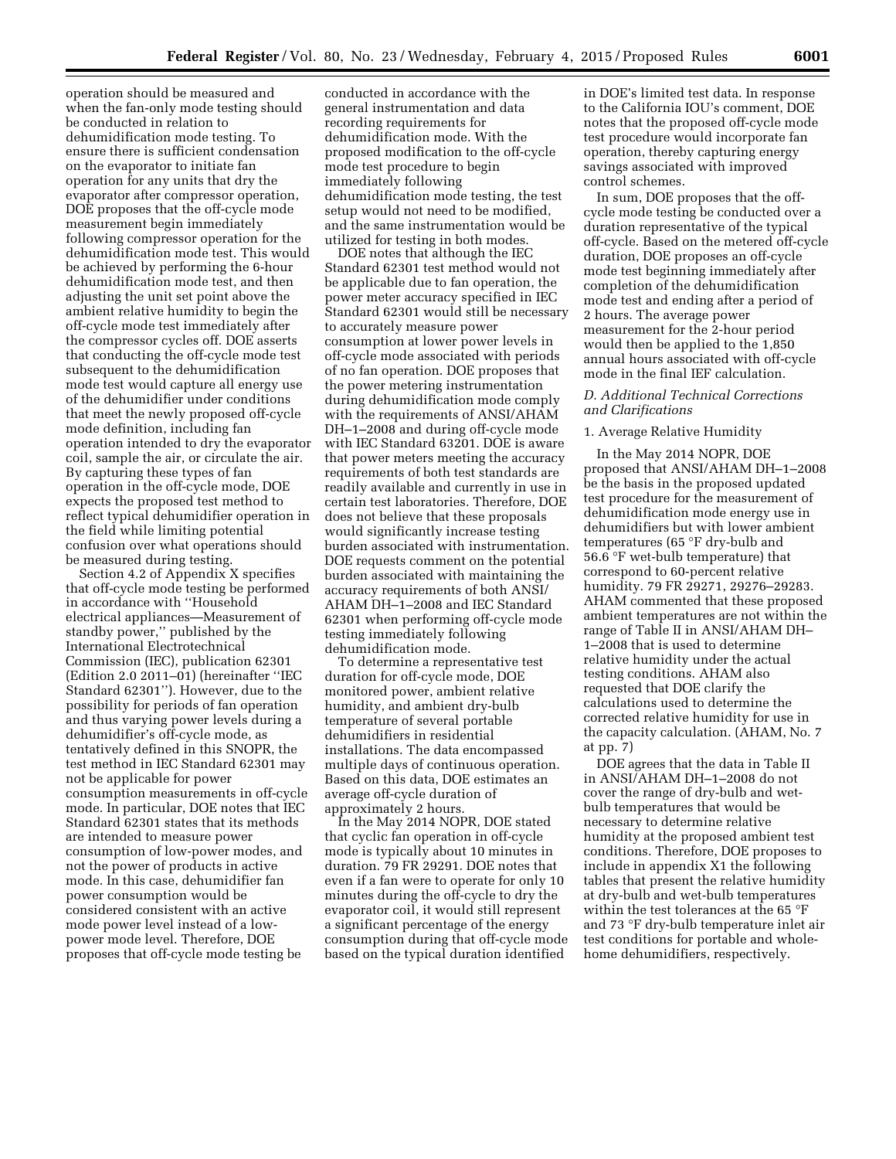operation should be measured and when the fan-only mode testing should be conducted in relation to dehumidification mode testing. To ensure there is sufficient condensation on the evaporator to initiate fan operation for any units that dry the evaporator after compressor operation, DOE proposes that the off-cycle mode measurement begin immediately following compressor operation for the dehumidification mode test. This would be achieved by performing the 6-hour dehumidification mode test, and then adjusting the unit set point above the ambient relative humidity to begin the off-cycle mode test immediately after the compressor cycles off. DOE asserts that conducting the off-cycle mode test subsequent to the dehumidification mode test would capture all energy use of the dehumidifier under conditions that meet the newly proposed off-cycle mode definition, including fan operation intended to dry the evaporator coil, sample the air, or circulate the air. By capturing these types of fan operation in the off-cycle mode, DOE expects the proposed test method to reflect typical dehumidifier operation in the field while limiting potential confusion over what operations should be measured during testing.

Section 4.2 of Appendix X specifies that off-cycle mode testing be performed in accordance with ''Household electrical appliances—Measurement of standby power,'' published by the International Electrotechnical Commission (IEC), publication 62301 (Edition 2.0 2011–01) (hereinafter ''IEC Standard 62301''). However, due to the possibility for periods of fan operation and thus varying power levels during a dehumidifier's off-cycle mode, as tentatively defined in this SNOPR, the test method in IEC Standard 62301 may not be applicable for power consumption measurements in off-cycle mode. In particular, DOE notes that IEC Standard 62301 states that its methods are intended to measure power consumption of low-power modes, and not the power of products in active mode. In this case, dehumidifier fan power consumption would be considered consistent with an active mode power level instead of a lowpower mode level. Therefore, DOE proposes that off-cycle mode testing be

conducted in accordance with the general instrumentation and data recording requirements for dehumidification mode. With the proposed modification to the off-cycle mode test procedure to begin immediately following dehumidification mode testing, the test setup would not need to be modified, and the same instrumentation would be utilized for testing in both modes.

DOE notes that although the IEC Standard 62301 test method would not be applicable due to fan operation, the power meter accuracy specified in IEC Standard 62301 would still be necessary to accurately measure power consumption at lower power levels in off-cycle mode associated with periods of no fan operation. DOE proposes that the power metering instrumentation during dehumidification mode comply with the requirements of ANSI/AHAM DH–1–2008 and during off-cycle mode with IEC Standard 63201. DOE is aware that power meters meeting the accuracy requirements of both test standards are readily available and currently in use in certain test laboratories. Therefore, DOE does not believe that these proposals would significantly increase testing burden associated with instrumentation. DOE requests comment on the potential burden associated with maintaining the accuracy requirements of both ANSI/ AHAM DH–1–2008 and IEC Standard 62301 when performing off-cycle mode testing immediately following dehumidification mode.

To determine a representative test duration for off-cycle mode, DOE monitored power, ambient relative humidity, and ambient dry-bulb temperature of several portable dehumidifiers in residential installations. The data encompassed multiple days of continuous operation. Based on this data, DOE estimates an average off-cycle duration of approximately 2 hours.

In the May 2014 NOPR, DOE stated that cyclic fan operation in off-cycle mode is typically about 10 minutes in duration. 79 FR 29291. DOE notes that even if a fan were to operate for only 10 minutes during the off-cycle to dry the evaporator coil, it would still represent a significant percentage of the energy consumption during that off-cycle mode based on the typical duration identified

in DOE's limited test data. In response to the California IOU's comment, DOE notes that the proposed off-cycle mode test procedure would incorporate fan operation, thereby capturing energy savings associated with improved control schemes.

In sum, DOE proposes that the offcycle mode testing be conducted over a duration representative of the typical off-cycle. Based on the metered off-cycle duration, DOE proposes an off-cycle mode test beginning immediately after completion of the dehumidification mode test and ending after a period of 2 hours. The average power measurement for the 2-hour period would then be applied to the 1,850 annual hours associated with off-cycle mode in the final IEF calculation.

# *D. Additional Technical Corrections and Clarifications*

#### 1. Average Relative Humidity

In the May 2014 NOPR, DOE proposed that ANSI/AHAM DH–1–2008 be the basis in the proposed updated test procedure for the measurement of dehumidification mode energy use in dehumidifiers but with lower ambient temperatures (65 °F dry-bulb and 56.6 °F wet-bulb temperature) that correspond to 60-percent relative humidity. 79 FR 29271, 29276–29283. AHAM commented that these proposed ambient temperatures are not within the range of Table II in ANSI/AHAM DH– 1–2008 that is used to determine relative humidity under the actual testing conditions. AHAM also requested that DOE clarify the calculations used to determine the corrected relative humidity for use in the capacity calculation. (AHAM, No. 7 at pp. 7)

DOE agrees that the data in Table II in ANSI/AHAM DH–1–2008 do not cover the range of dry-bulb and wetbulb temperatures that would be necessary to determine relative humidity at the proposed ambient test conditions. Therefore, DOE proposes to include in appendix X1 the following tables that present the relative humidity at dry-bulb and wet-bulb temperatures within the test tolerances at the 65 °F and 73 °F dry-bulb temperature inlet air test conditions for portable and wholehome dehumidifiers, respectively.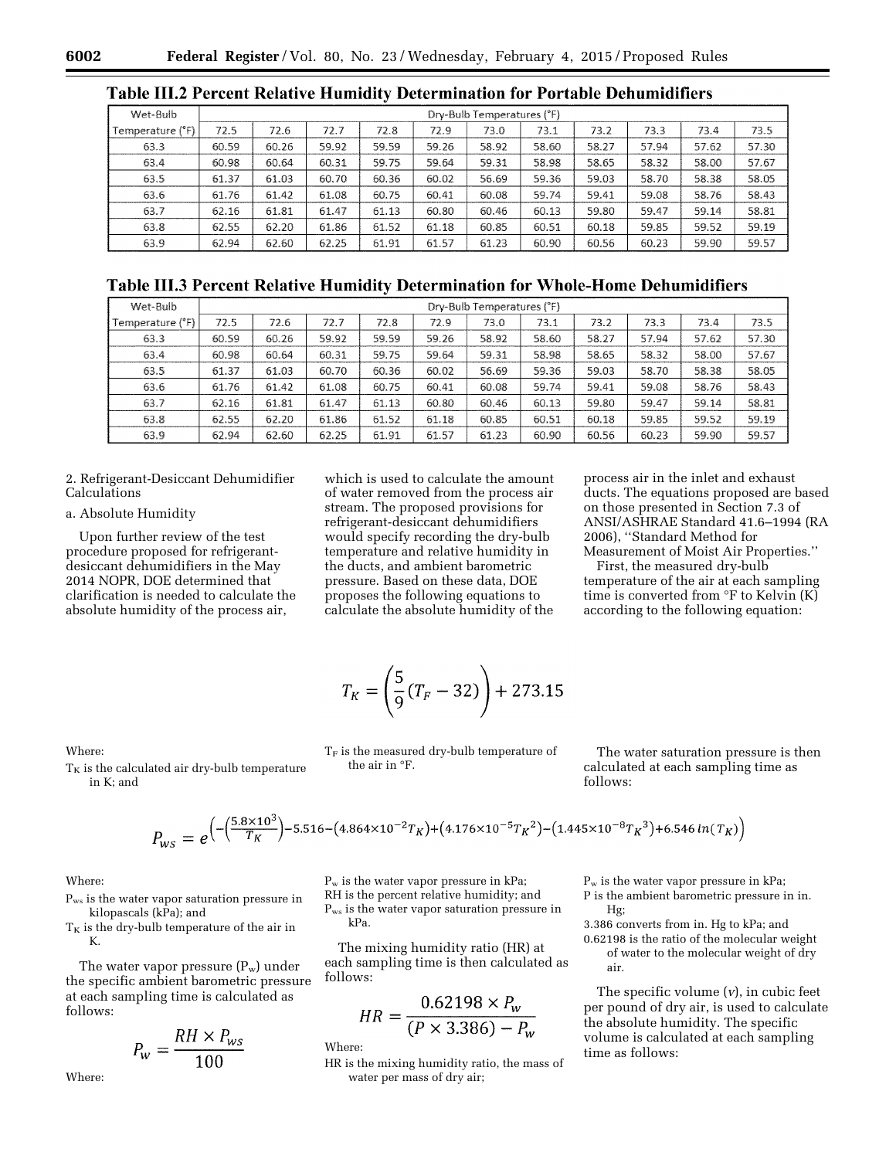| Wet-Bulb         |       | Dry-Bulb Temperatures (°F) |       |       |       |       |       |       |       |       |       |  |
|------------------|-------|----------------------------|-------|-------|-------|-------|-------|-------|-------|-------|-------|--|
| Temperature (°F) | 72.5  | 72.6                       | 72.7  | 72.8  | 72.9  | 73.0  | 73.1  | 73.2  | 73.3  | 73.4  | 73.5  |  |
| 63.3             | 60.59 | 60.26                      | 59.92 | 59.59 | 59.26 | 58.92 | 58.60 | 58.27 | 57.94 | 57.62 | 57.30 |  |
| 63.4             | 60.98 | 60.64                      | 60.31 | 59.75 | 59.64 | 59.31 | 58.98 | 58.65 | 58.32 | 58.00 | 57.67 |  |
| 63.5             | 61.37 | 61.03                      | 60.70 | 60.36 | 60.02 | 56.69 | 59.36 | 59.03 | 58.70 | 58.38 | 58.05 |  |
| 63.6             | 61.76 | 61.42                      | 61.08 | 60.75 | 60.41 | 60.08 | 59.74 | 59.41 | 59.08 | 58.76 | 58.43 |  |
| 63.7             | 62.16 | 61.81                      | 61.47 | 61.13 | 60,80 | 60.46 | 60.13 | 59.80 | 59.47 | 59.14 | 58.81 |  |
| 63.8             | 62.55 | 62.20                      | 61.86 | 61.52 | 61.18 | 60.85 | 60.51 | 60.18 | 59.85 | 59.52 | 59.19 |  |
| 63.9             | 62.94 | 62.60                      | 62.25 | 61.91 | 61.57 | 61.23 | 60.90 | 60.56 | 60.23 | 59.90 | 59.57 |  |

**Table III.2 Percent Relative Humidity Determination for Portable Dehumidifiers** 

**Table III.3 Percent Relative Humidity Determination for Whole-Home Dehumidifiers** 

| Wet-Bulb         | Dry-Bulb Temperatures (°F) |       |       |       |       |       |       |       |       |       |       |
|------------------|----------------------------|-------|-------|-------|-------|-------|-------|-------|-------|-------|-------|
| Temperature (°F) | 72.5                       | 72.6  | 72.7  | 72.8  | 72.9  | 73.0  | 73.1  | 73.2  | 73.3  | 73.4  | 73.5  |
| 63.3             | 60.59                      | 60.26 | 59.92 | 59.59 | 59.26 | 58.92 | 58.60 | 58.27 | 57.94 | 57.62 | 57.30 |
| 63.4             | 60.98                      | 60.64 | 60.31 | 59.75 | 59.64 | 59.31 | 58.98 | 58.65 | 58.32 | 58.00 | 57.67 |
| 63.5             | 61.37                      | 61.03 | 60.70 | 60.36 | 60.02 | 56.69 | 59.36 | 59.03 | 58.70 | 58.38 | 58.05 |
| 63.6             | 61.76                      | 61.42 | 61.08 | 60.75 | 60.41 | 60.08 | 59.74 | 59.41 | 59.08 | 58.76 | 58.43 |
| 63.7             | 62.16                      | 61.81 | 61.47 | 61.13 | 60.80 | 60.46 | 60.13 | 59.80 | 59.47 | 59.14 | 58.81 |
| 63.8             | 62.55                      | 62.20 | 61.86 | 61.52 | 61.18 | 60.85 | 60.51 | 60.18 | 59.85 | 59.52 | 59.19 |
| 63.9             | 62.94                      | 62.60 | 62.25 | 61.91 | 61.57 | 61.23 | 60.90 | 60.56 | 60.23 | 59.90 | 59.57 |

# 2. Refrigerant-Desiccant Dehumidifier Calculations

# a. Absolute Humidity

Upon further review of the test procedure proposed for refrigerantdesiccant dehumidifiers in the May 2014 NOPR, DOE determined that clarification is needed to calculate the absolute humidity of the process air,

which is used to calculate the amount of water removed from the process air stream. The proposed provisions for refrigerant-desiccant dehumidifiers would specify recording the dry-bulb temperature and relative humidity in the ducts, and ambient barometric pressure. Based on these data, DOE proposes the following equations to calculate the absolute humidity of the

process air in the inlet and exhaust ducts. The equations proposed are based on those presented in Section 7.3 of ANSI/ASHRAE Standard 41.6–1994 (RA 2006), ''Standard Method for Measurement of Moist Air Properties.''

First, the measured dry-bulb temperature of the air at each sampling time is converted from  $\mathrm{P}F$  to Kelvin  $(K)$ according to the following equation:

$$
T_K = \left(\frac{5}{9}(T_F - 32)\right) + 273.15
$$

Where:

 $T_K$  is the calculated air dry-bulb temperature in K; and

 $T_F$  is the measured dry-bulb temperature of The water saturation pressure is then calculated at each sampling time as follows:

$$
P_{WS} = e^{-\left(\frac{(5.8 \times 10^3)}{T_K}\right) - 5.516 - \left(4.864 \times 10^{-2} T_K\right) + \left(4.176 \times 10^{-5} T_K^2\right) - \left(1.445 \times 10^{-8} T_K^3\right) + 6.546 \ln(T_K)\right)}
$$

the air in °F.

Where:

Where:

Pws is the water vapor saturation pressure in kilopascals (kPa); and

 $T_K$  is the dry-bulb temperature of the air in K.

The water vapor pressure  $(P_w)$  under the specific ambient barometric pressure at each sampling time is calculated as follows:

$$
P_w = \frac{RH \times P_{ws}}{100}
$$

 $P_w$  is the water vapor pressure in kPa; RH is the percent relative humidity; and Pws is the water vapor saturation pressure in kPa.

The mixing humidity ratio (HR) at each sampling time is then calculated as follows:

$$
HR = \frac{0.62198 \times P_w}{(P \times 3.386) - P_w}
$$

Where:

HR is the mixing humidity ratio, the mass of water per mass of dry air;

 $P_w$  is the water vapor pressure in kPa;

- P is the ambient barometric pressure in in. Hg;
- 3.386 converts from in. Hg to kPa; and

0.62198 is the ratio of the molecular weight of water to the molecular weight of dry air.

The specific volume (*v*), in cubic feet per pound of dry air, is used to calculate the absolute humidity. The specific volume is calculated at each sampling time as follows: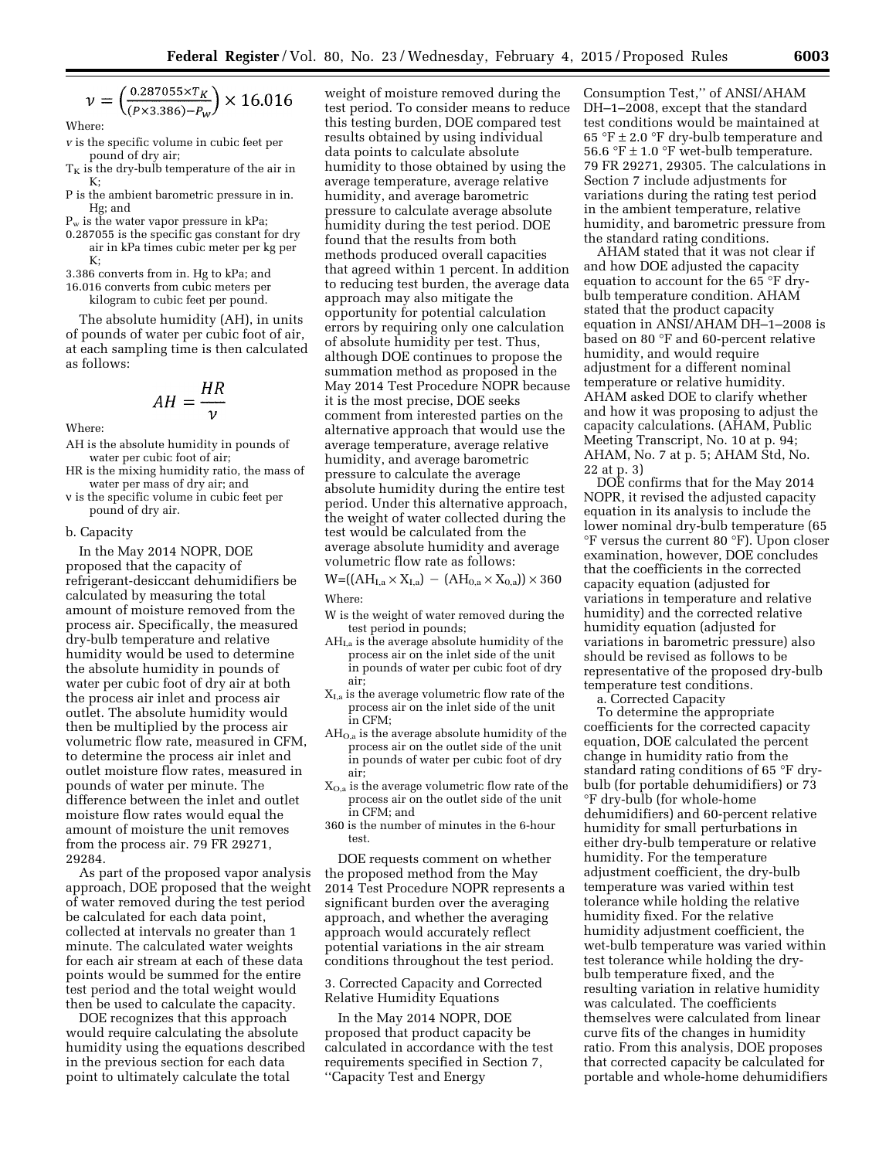$$
\nu = \left(\frac{0.287055 \times T_K}{(P \times 3.386) - P_W}\right) \times 16.016
$$

Where:

- *v* is the specific volume in cubic feet per pound of dry air;
- $T<sub>K</sub>$  is the dry-bulb temperature of the air in  $K \cdot$
- P is the ambient barometric pressure in in. Hg; and
- $P_w$  is the water vapor pressure in kPa;
- 0.287055 is the specific gas constant for dry air in kPa times cubic meter per kg per  $K:$
- 3.386 converts from in. Hg to kPa; and
- 16.016 converts from cubic meters per kilogram to cubic feet per pound.

The absolute humidity (AH), in units of pounds of water per cubic foot of air, at each sampling time is then calculated as follows:

$$
AH = \frac{HR}{\nu}
$$

Where:

- AH is the absolute humidity in pounds of water per cubic foot of air;
- HR is the mixing humidity ratio, the mass of water per mass of dry air; and
- v is the specific volume in cubic feet per pound of dry air.

b. Capacity

In the May 2014 NOPR, DOE proposed that the capacity of refrigerant-desiccant dehumidifiers be calculated by measuring the total amount of moisture removed from the process air. Specifically, the measured dry-bulb temperature and relative humidity would be used to determine the absolute humidity in pounds of water per cubic foot of dry air at both the process air inlet and process air outlet. The absolute humidity would then be multiplied by the process air volumetric flow rate, measured in CFM, to determine the process air inlet and outlet moisture flow rates, measured in pounds of water per minute. The difference between the inlet and outlet moisture flow rates would equal the amount of moisture the unit removes from the process air. 79 FR 29271, 29284.

As part of the proposed vapor analysis approach, DOE proposed that the weight of water removed during the test period be calculated for each data point, collected at intervals no greater than 1 minute. The calculated water weights for each air stream at each of these data points would be summed for the entire test period and the total weight would then be used to calculate the capacity.

DOE recognizes that this approach would require calculating the absolute humidity using the equations described in the previous section for each data point to ultimately calculate the total

weight of moisture removed during the test period. To consider means to reduce this testing burden, DOE compared test results obtained by using individual data points to calculate absolute humidity to those obtained by using the average temperature, average relative humidity, and average barometric pressure to calculate average absolute humidity during the test period. DOE found that the results from both methods produced overall capacities that agreed within 1 percent. In addition to reducing test burden, the average data approach may also mitigate the opportunity for potential calculation errors by requiring only one calculation of absolute humidity per test. Thus, although DOE continues to propose the summation method as proposed in the May 2014 Test Procedure NOPR because it is the most precise, DOE seeks comment from interested parties on the alternative approach that would use the average temperature, average relative humidity, and average barometric pressure to calculate the average absolute humidity during the entire test period. Under this alternative approach, the weight of water collected during the test would be calculated from the average absolute humidity and average volumetric flow rate as follows:

 $W=((AH_{I,a} \times X_{I,a}) - (AH_{0,a} \times X_{0,a})) \times 360$ Where:

- W is the weight of water removed during the test period in pounds;
- AHI,a is the average absolute humidity of the process air on the inlet side of the unit in pounds of water per cubic foot of dry air;
- XI,a is the average volumetric flow rate of the process air on the inlet side of the unit in CFM;
- AHO,a is the average absolute humidity of the process air on the outlet side of the unit in pounds of water per cubic foot of dry air;
- XO,a is the average volumetric flow rate of the process air on the outlet side of the unit in CFM; and
- 360 is the number of minutes in the 6-hour test.

DOE requests comment on whether the proposed method from the May 2014 Test Procedure NOPR represents a significant burden over the averaging approach, and whether the averaging approach would accurately reflect potential variations in the air stream conditions throughout the test period.

3. Corrected Capacity and Corrected Relative Humidity Equations

In the May 2014 NOPR, DOE proposed that product capacity be calculated in accordance with the test requirements specified in Section 7, ''Capacity Test and Energy

Consumption Test,'' of ANSI/AHAM DH–1–2008, except that the standard test conditions would be maintained at 65 °F  $\pm$  2.0 °F dry-bulb temperature and 56.6  $^{\circ}\rm{F}$   $\pm$  1.0  $^{\circ}\rm{F}$  wet-bulb temperature. 79 FR 29271, 29305. The calculations in Section 7 include adjustments for variations during the rating test period in the ambient temperature, relative humidity, and barometric pressure from the standard rating conditions.

AHAM stated that it was not clear if and how DOE adjusted the capacity equation to account for the 65 °F drybulb temperature condition. AHAM stated that the product capacity equation in ANSI/AHAM DH–1–2008 is based on 80 °F and 60-percent relative humidity, and would require adjustment for a different nominal temperature or relative humidity. AHAM asked DOE to clarify whether and how it was proposing to adjust the capacity calculations. (AHAM, Public Meeting Transcript, No. 10 at p. 94; AHAM, No. 7 at p. 5; AHAM Std, No. 22 at p. 3)

DOE confirms that for the May 2014 NOPR, it revised the adjusted capacity equation in its analysis to include the lower nominal dry-bulb temperature (65 °F versus the current 80 °F). Upon closer examination, however, DOE concludes that the coefficients in the corrected capacity equation (adjusted for variations in temperature and relative humidity) and the corrected relative humidity equation (adjusted for variations in barometric pressure) also should be revised as follows to be representative of the proposed dry-bulb temperature test conditions.

a. Corrected Capacity

To determine the appropriate coefficients for the corrected capacity equation, DOE calculated the percent change in humidity ratio from the standard rating conditions of 65 °F drybulb (for portable dehumidifiers) or 73 °F dry-bulb (for whole-home dehumidifiers) and 60-percent relative humidity for small perturbations in either dry-bulb temperature or relative humidity. For the temperature adjustment coefficient, the dry-bulb temperature was varied within test tolerance while holding the relative humidity fixed. For the relative humidity adjustment coefficient, the wet-bulb temperature was varied within test tolerance while holding the drybulb temperature fixed, and the resulting variation in relative humidity was calculated. The coefficients themselves were calculated from linear curve fits of the changes in humidity ratio. From this analysis, DOE proposes that corrected capacity be calculated for portable and whole-home dehumidifiers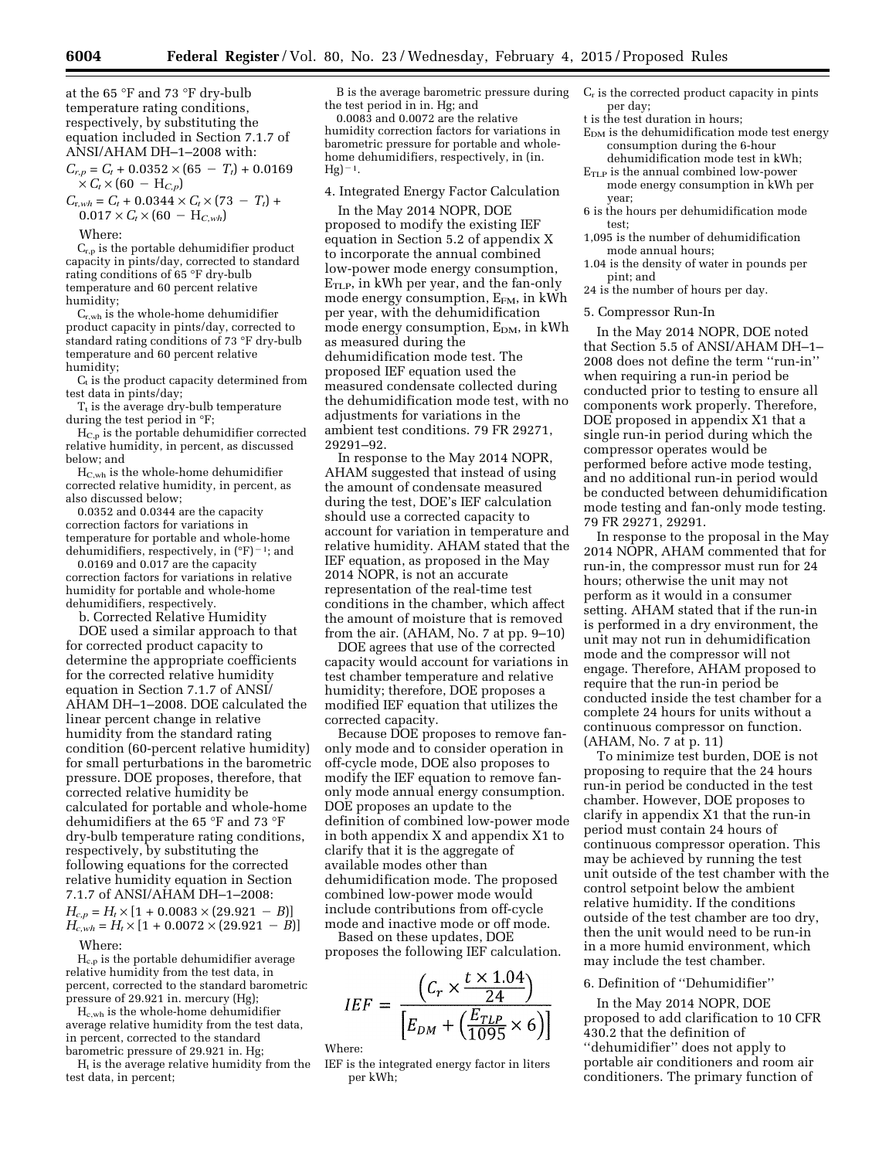at the 65 °F and 73 °F dry-bulb temperature rating conditions, respectively, by substituting the equation included in Section 7.1.7 of ANSI/AHAM DH–1–2008 with:

 $C_{r,p} = C_t + 0.0352 \times (65 - T_t) + 0.0169$  $\times$  *C<sub>t</sub>*  $\times$  (60 – H<sub>*C,p*</sub>)

 $C_{\text{r},wh} = C_t + 0.0344 \times C_t \times (73 - T_t) +$  $0.017 \times C_t \times (60 - H_{C,wh})$ 

#### Where:

 $C_{r,p}$  is the portable dehumidifier product capacity in pints/day, corrected to standard rating conditions of 65 °F dry-bulb temperature and 60 percent relative humidity;

Cr,wh is the whole-home dehumidifier product capacity in pints/day, corrected to standard rating conditions of 73 °F dry-bulb temperature and 60 percent relative humidity;

 $C_t$  is the product capacity determined from test data in pints/day;

 $T_t$  is the average dry-bulb temperature during the test period in °F;

HC,p is the portable dehumidifier corrected relative humidity, in percent, as discussed below; and

 $H_{C,wh}$  is the whole-home dehumidifier corrected relative humidity, in percent, as also discussed below;

0.0352 and 0.0344 are the capacity correction factors for variations in temperature for portable and whole-home dehumidifiers, respectively, in  $({}^{\circ}F)^{-1}$ ; and

0.0169 and 0.017 are the capacity correction factors for variations in relative humidity for portable and whole-home dehumidifiers, respectively.

b. Corrected Relative Humidity

DOE used a similar approach to that for corrected product capacity to determine the appropriate coefficients for the corrected relative humidity equation in Section 7.1.7 of ANSI/ AHAM DH–1–2008. DOE calculated the linear percent change in relative humidity from the standard rating condition (60-percent relative humidity) for small perturbations in the barometric pressure. DOE proposes, therefore, that corrected relative humidity be calculated for portable and whole-home dehumidifiers at the 65 °F and 73 °F dry-bulb temperature rating conditions, respectively, by substituting the following equations for the corrected relative humidity equation in Section 7.1.7 of ANSI/AHAM DH–1–2008:  $H_{c,p} = H_t \times [1 + 0.0083 \times (29.921 - B)]$  $H_{c,wh} = H_t \times [1 + 0.0072 \times (29.921 - B)]$ 

Where:

Hc,p is the portable dehumidifier average relative humidity from the test data, in percent, corrected to the standard barometric pressure of 29.921 in. mercury (Hg);

Hc,wh is the whole-home dehumidifier average relative humidity from the test data, in percent, corrected to the standard barometric pressure of 29.921 in. Hg;

 $H_t$  is the average relative humidity from the test data, in percent;

B is the average barometric pressure during the test period in in. Hg; and

0.0083 and 0.0072 are the relative humidity correction factors for variations in barometric pressure for portable and wholehome dehumidifiers, respectively, in (in.  $Hg^{-1}.$ 

## 4. Integrated Energy Factor Calculation

In the May 2014 NOPR, DOE proposed to modify the existing IEF equation in Section 5.2 of appendix X to incorporate the annual combined low-power mode energy consumption,  $E<sub>TLP</sub>$ , in kWh per year, and the fan-only mode energy consumption,  $E_{FM}$ , in kWh per year, with the dehumidification mode energy consumption,  $E_{DM}$ , in kWh as measured during the dehumidification mode test. The proposed IEF equation used the measured condensate collected during the dehumidification mode test, with no adjustments for variations in the ambient test conditions. 79 FR 29271, 29291–92.

In response to the May 2014 NOPR, AHAM suggested that instead of using the amount of condensate measured during the test, DOE's IEF calculation should use a corrected capacity to account for variation in temperature and relative humidity. AHAM stated that the IEF equation, as proposed in the May 2014 NOPR, is not an accurate representation of the real-time test conditions in the chamber, which affect the amount of moisture that is removed from the air. (AHAM, No. 7 at pp. 9–10)

DOE agrees that use of the corrected capacity would account for variations in test chamber temperature and relative humidity; therefore, DOE proposes a modified IEF equation that utilizes the corrected capacity.

Because DOE proposes to remove fanonly mode and to consider operation in off-cycle mode, DOE also proposes to modify the IEF equation to remove fanonly mode annual energy consumption. DOE proposes an update to the definition of combined low-power mode in both appendix X and appendix X1 to clarify that it is the aggregate of available modes other than dehumidification mode. The proposed combined low-power mode would include contributions from off-cycle mode and inactive mode or off mode.

Based on these updates, DOE proposes the following IEF calculation.

$$
IEF = \frac{\left(C_r \times \frac{t \times 1.04}{24}\right)}{\left[E_{DM} + \left(\frac{E_{TLP}}{1095} \times 6\right)\right]}
$$

Where:

IEF is the integrated energy factor in liters per kWh;

- $C_r$  is the corrected product capacity in pints per day;
- t is the test duration in hours;
- $E_{DM}$  is the dehumidification mode test energy consumption during the 6-hour dehumidification mode test in kWh;
- ETLP is the annual combined low-power mode energy consumption in kWh per year;
- 6 is the hours per dehumidification mode test;
- 1,095 is the number of dehumidification mode annual hours;
- 1.04 is the density of water in pounds per pint; and
- 24 is the number of hours per day.

## 5. Compressor Run-In

In the May 2014 NOPR, DOE noted that Section 5.5 of ANSI/AHAM DH–1– 2008 does not define the term ''run-in'' when requiring a run-in period be conducted prior to testing to ensure all components work properly. Therefore, DOE proposed in appendix X1 that a single run-in period during which the compressor operates would be performed before active mode testing, and no additional run-in period would be conducted between dehumidification mode testing and fan-only mode testing. 79 FR 29271, 29291.

In response to the proposal in the May 2014 NOPR, AHAM commented that for run-in, the compressor must run for 24 hours; otherwise the unit may not perform as it would in a consumer setting. AHAM stated that if the run-in is performed in a dry environment, the unit may not run in dehumidification mode and the compressor will not engage. Therefore, AHAM proposed to require that the run-in period be conducted inside the test chamber for a complete 24 hours for units without a continuous compressor on function. (AHAM, No. 7 at p. 11)

To minimize test burden, DOE is not proposing to require that the 24 hours run-in period be conducted in the test chamber. However, DOE proposes to clarify in appendix X1 that the run-in period must contain 24 hours of continuous compressor operation. This may be achieved by running the test unit outside of the test chamber with the control setpoint below the ambient relative humidity. If the conditions outside of the test chamber are too dry, then the unit would need to be run-in in a more humid environment, which may include the test chamber.

#### 6. Definition of ''Dehumidifier''

In the May 2014 NOPR, DOE proposed to add clarification to 10 CFR 430.2 that the definition of ''dehumidifier'' does not apply to portable air conditioners and room air conditioners. The primary function of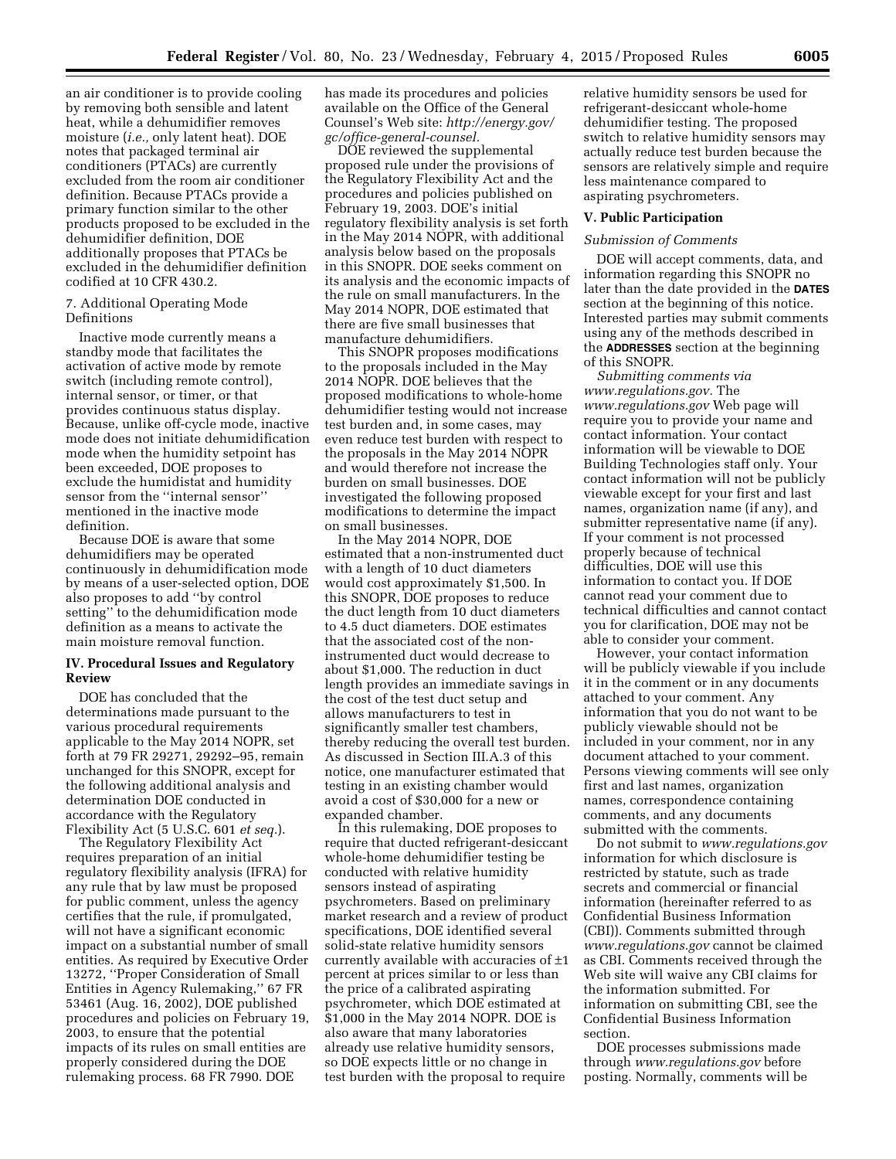an air conditioner is to provide cooling by removing both sensible and latent heat, while a dehumidifier removes moisture (*i.e.,* only latent heat). DOE notes that packaged terminal air conditioners (PTACs) are currently excluded from the room air conditioner definition. Because PTACs provide a primary function similar to the other products proposed to be excluded in the dehumidifier definition, DOE additionally proposes that PTACs be excluded in the dehumidifier definition codified at 10 CFR 430.2.

## 7. Additional Operating Mode Definitions

Inactive mode currently means a standby mode that facilitates the activation of active mode by remote switch (including remote control), internal sensor, or timer, or that provides continuous status display. Because, unlike off-cycle mode, inactive mode does not initiate dehumidification mode when the humidity setpoint has been exceeded, DOE proposes to exclude the humidistat and humidity sensor from the ''internal sensor'' mentioned in the inactive mode definition.

Because DOE is aware that some dehumidifiers may be operated continuously in dehumidification mode by means of a user-selected option, DOE also proposes to add ''by control setting'' to the dehumidification mode definition as a means to activate the main moisture removal function.

#### **IV. Procedural Issues and Regulatory Review**

DOE has concluded that the determinations made pursuant to the various procedural requirements applicable to the May 2014 NOPR, set forth at 79 FR 29271, 29292–95, remain unchanged for this SNOPR, except for the following additional analysis and determination DOE conducted in accordance with the Regulatory Flexibility Act (5 U.S.C. 601 *et seq.*).

The Regulatory Flexibility Act requires preparation of an initial regulatory flexibility analysis (IFRA) for any rule that by law must be proposed for public comment, unless the agency certifies that the rule, if promulgated, will not have a significant economic impact on a substantial number of small entities. As required by Executive Order 13272, ''Proper Consideration of Small Entities in Agency Rulemaking,'' 67 FR 53461 (Aug. 16, 2002), DOE published procedures and policies on February 19, 2003, to ensure that the potential impacts of its rules on small entities are properly considered during the DOE rulemaking process. 68 FR 7990. DOE

has made its procedures and policies available on the Office of the General Counsel's Web site: *[http://energy.gov/](http://energy.gov/gc/office-general-counsel) [gc/office-general-counsel.](http://energy.gov/gc/office-general-counsel)* 

DOE reviewed the supplemental proposed rule under the provisions of the Regulatory Flexibility Act and the procedures and policies published on February 19, 2003. DOE's initial regulatory flexibility analysis is set forth in the May 2014 NOPR, with additional analysis below based on the proposals in this SNOPR. DOE seeks comment on its analysis and the economic impacts of the rule on small manufacturers. In the May 2014 NOPR, DOE estimated that there are five small businesses that manufacture dehumidifiers.

This SNOPR proposes modifications to the proposals included in the May 2014 NOPR. DOE believes that the proposed modifications to whole-home dehumidifier testing would not increase test burden and, in some cases, may even reduce test burden with respect to the proposals in the May 2014 NOPR and would therefore not increase the burden on small businesses. DOE investigated the following proposed modifications to determine the impact on small businesses.

In the May 2014 NOPR, DOE estimated that a non-instrumented duct with a length of 10 duct diameters would cost approximately \$1,500. In this SNOPR, DOE proposes to reduce the duct length from 10 duct diameters to 4.5 duct diameters. DOE estimates that the associated cost of the noninstrumented duct would decrease to about \$1,000. The reduction in duct length provides an immediate savings in the cost of the test duct setup and allows manufacturers to test in significantly smaller test chambers, thereby reducing the overall test burden. As discussed in Section III.A.3 of this notice, one manufacturer estimated that testing in an existing chamber would avoid a cost of \$30,000 for a new or expanded chamber.

In this rulemaking, DOE proposes to require that ducted refrigerant-desiccant whole-home dehumidifier testing be conducted with relative humidity sensors instead of aspirating psychrometers. Based on preliminary market research and a review of product specifications, DOE identified several solid-state relative humidity sensors currently available with accuracies of ±1 percent at prices similar to or less than the price of a calibrated aspirating psychrometer, which DOE estimated at \$1,000 in the May 2014 NOPR. DOE is also aware that many laboratories already use relative humidity sensors, so DOE expects little or no change in test burden with the proposal to require

relative humidity sensors be used for refrigerant-desiccant whole-home dehumidifier testing. The proposed switch to relative humidity sensors may actually reduce test burden because the sensors are relatively simple and require less maintenance compared to aspirating psychrometers.

## **V. Public Participation**

#### *Submission of Comments*

DOE will accept comments, data, and information regarding this SNOPR no later than the date provided in the **DATES** section at the beginning of this notice. Interested parties may submit comments using any of the methods described in the **ADDRESSES** section at the beginning of this SNOPR.

*Submitting comments via [www.regulations.gov.](http://www.regulations.gov)* The *[www.regulations.gov](http://www.regulations.gov)* Web page will require you to provide your name and contact information. Your contact information will be viewable to DOE Building Technologies staff only. Your contact information will not be publicly viewable except for your first and last names, organization name (if any), and submitter representative name (if any). If your comment is not processed properly because of technical difficulties, DOE will use this information to contact you. If DOE cannot read your comment due to technical difficulties and cannot contact you for clarification, DOE may not be able to consider your comment.

However, your contact information will be publicly viewable if you include it in the comment or in any documents attached to your comment. Any information that you do not want to be publicly viewable should not be included in your comment, nor in any document attached to your comment. Persons viewing comments will see only first and last names, organization names, correspondence containing comments, and any documents submitted with the comments.

Do not submit to *[www.regulations.gov](http://www.regulations.gov)*  information for which disclosure is restricted by statute, such as trade secrets and commercial or financial information (hereinafter referred to as Confidential Business Information (CBI)). Comments submitted through *[www.regulations.gov](http://www.regulations.gov)* cannot be claimed as CBI. Comments received through the Web site will waive any CBI claims for the information submitted. For information on submitting CBI, see the Confidential Business Information section.

DOE processes submissions made through *[www.regulations.gov](http://www.regulations.gov)* before posting. Normally, comments will be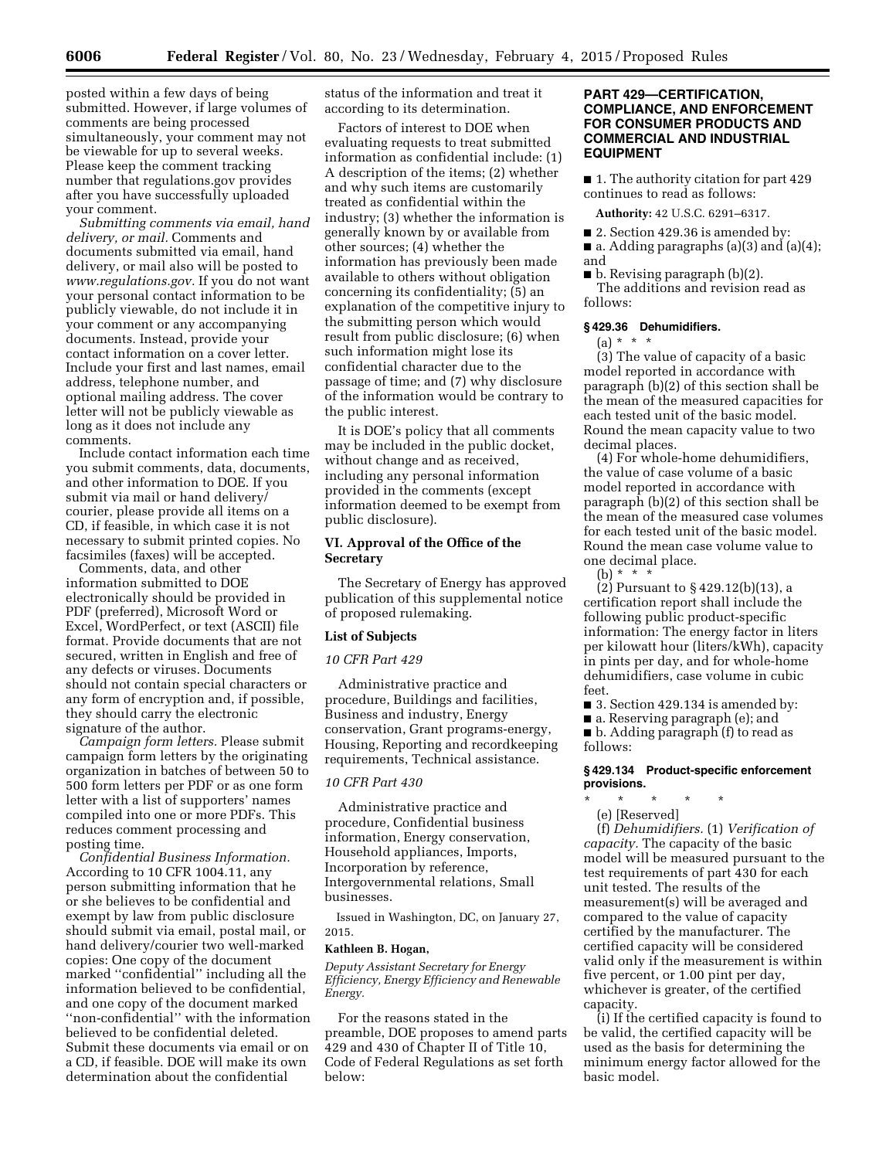posted within a few days of being submitted. However, if large volumes of comments are being processed simultaneously, your comment may not be viewable for up to several weeks. Please keep the comment tracking number that regulations.gov provides after you have successfully uploaded your comment.

*Submitting comments via email, hand delivery, or mail.* Comments and documents submitted via email, hand delivery, or mail also will be posted to *[www.regulations.gov.](http://www.regulations.gov)* If you do not want your personal contact information to be publicly viewable, do not include it in your comment or any accompanying documents. Instead, provide your contact information on a cover letter. Include your first and last names, email address, telephone number, and optional mailing address. The cover letter will not be publicly viewable as long as it does not include any comments.

Include contact information each time you submit comments, data, documents, and other information to DOE. If you submit via mail or hand delivery/ courier, please provide all items on a CD, if feasible, in which case it is not necessary to submit printed copies. No facsimiles (faxes) will be accepted.

Comments, data, and other information submitted to DOE electronically should be provided in PDF (preferred), Microsoft Word or Excel, WordPerfect, or text (ASCII) file format. Provide documents that are not secured, written in English and free of any defects or viruses. Documents should not contain special characters or any form of encryption and, if possible, they should carry the electronic signature of the author.

*Campaign form letters.* Please submit campaign form letters by the originating organization in batches of between 50 to 500 form letters per PDF or as one form letter with a list of supporters' names compiled into one or more PDFs. This reduces comment processing and posting time.

*Confidential Business Information.*  According to 10 CFR 1004.11, any person submitting information that he or she believes to be confidential and exempt by law from public disclosure should submit via email, postal mail, or hand delivery/courier two well-marked copies: One copy of the document marked ''confidential'' including all the information believed to be confidential, and one copy of the document marked ''non-confidential'' with the information believed to be confidential deleted. Submit these documents via email or on a CD, if feasible. DOE will make its own determination about the confidential

status of the information and treat it according to its determination.

Factors of interest to DOE when evaluating requests to treat submitted information as confidential include: (1) A description of the items; (2) whether and why such items are customarily treated as confidential within the industry; (3) whether the information is generally known by or available from other sources; (4) whether the information has previously been made available to others without obligation concerning its confidentiality; (5) an explanation of the competitive injury to the submitting person which would result from public disclosure; (6) when such information might lose its confidential character due to the passage of time; and (7) why disclosure of the information would be contrary to the public interest.

It is DOE's policy that all comments may be included in the public docket, without change and as received, including any personal information provided in the comments (except information deemed to be exempt from public disclosure).

## **VI. Approval of the Office of the Secretary**

The Secretary of Energy has approved publication of this supplemental notice of proposed rulemaking.

## **List of Subjects**

#### *10 CFR Part 429*

Administrative practice and procedure, Buildings and facilities, Business and industry, Energy conservation, Grant programs-energy, Housing, Reporting and recordkeeping requirements, Technical assistance.

#### *10 CFR Part 430*

Administrative practice and procedure, Confidential business information, Energy conservation, Household appliances, Imports, Incorporation by reference, Intergovernmental relations, Small businesses.

Issued in Washington, DC, on January 27, 2015.

#### **Kathleen B. Hogan,**

*Deputy Assistant Secretary for Energy Efficiency, Energy Efficiency and Renewable Energy.* 

For the reasons stated in the preamble, DOE proposes to amend parts 429 and 430 of Chapter II of Title 10, Code of Federal Regulations as set forth below:

# **PART 429—CERTIFICATION, COMPLIANCE, AND ENFORCEMENT FOR CONSUMER PRODUCTS AND COMMERCIAL AND INDUSTRIAL EQUIPMENT**

■ 1. The authority citation for part 429 continues to read as follows:

**Authority:** 42 U.S.C. 6291–6317.

■ 2. Section 429.36 is amended by:

 $\blacksquare$  a. Adding paragraphs (a)(3) and (a)(4); and

 $\blacksquare$  b. Revising paragraph (b)(2). The additions and revision read as follows:

#### **§ 429.36 Dehumidifiers.**

 $(a) * * * *$ 

(3) The value of capacity of a basic model reported in accordance with paragraph (b)(2) of this section shall be the mean of the measured capacities for each tested unit of the basic model. Round the mean capacity value to two decimal places.

(4) For whole-home dehumidifiers, the value of case volume of a basic model reported in accordance with paragraph (b)(2) of this section shall be the mean of the measured case volumes for each tested unit of the basic model. Round the mean case volume value to one decimal place.

(b) \* \* \*

(2) Pursuant to § 429.12(b)(13), a certification report shall include the following public product-specific information: The energy factor in liters per kilowatt hour (liters/kWh), capacity in pints per day, and for whole-home dehumidifiers, case volume in cubic feet.

■ 3. Section 429.134 is amended by:

■ a. Reserving paragraph (e); and ■ b. Adding paragraph (f) to read as follows:

#### **§ 429.134 Product-specific enforcement provisions.**

\* \* \* \* \*

(e) [Reserved] (f) *Dehumidifiers.* (1) *Verification of capacity.* The capacity of the basic model will be measured pursuant to the test requirements of part 430 for each unit tested. The results of the measurement(s) will be averaged and compared to the value of capacity certified by the manufacturer. The certified capacity will be considered valid only if the measurement is within five percent, or 1.00 pint per day, whichever is greater, of the certified capacity.

(i) If the certified capacity is found to be valid, the certified capacity will be used as the basis for determining the minimum energy factor allowed for the basic model.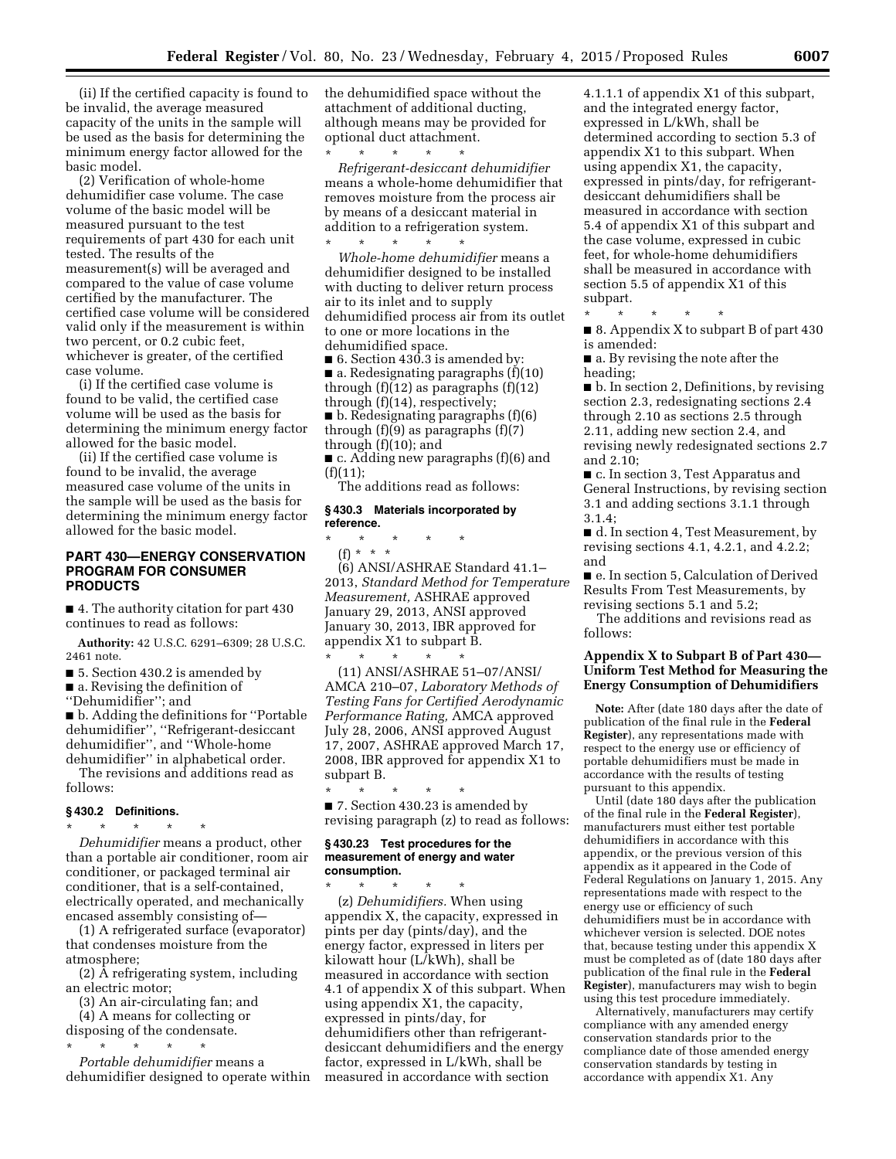(ii) If the certified capacity is found to be invalid, the average measured capacity of the units in the sample will be used as the basis for determining the minimum energy factor allowed for the basic model.

(2) Verification of whole-home dehumidifier case volume. The case volume of the basic model will be measured pursuant to the test requirements of part 430 for each unit tested. The results of the measurement(s) will be averaged and compared to the value of case volume certified by the manufacturer. The certified case volume will be considered valid only if the measurement is within two percent, or 0.2 cubic feet, whichever is greater, of the certified case volume.

(i) If the certified case volume is found to be valid, the certified case volume will be used as the basis for determining the minimum energy factor allowed for the basic model.

(ii) If the certified case volume is found to be invalid, the average measured case volume of the units in the sample will be used as the basis for determining the minimum energy factor allowed for the basic model.

# **PART 430—ENERGY CONSERVATION PROGRAM FOR CONSUMER PRODUCTS**

■ 4. The authority citation for part 430 continues to read as follows:

**Authority:** 42 U.S.C. 6291–6309; 28 U.S.C. 2461 note.

■ 5. Section 430.2 is amended by

■ a. Revising the definition of

''Dehumidifier''; and

■ b. Adding the definitions for "Portable dehumidifier'', ''Refrigerant-desiccant dehumidifier'', and ''Whole-home dehumidifier'' in alphabetical order.

The revisions and additions read as follows:

# **§ 430.2 Definitions.**

\* \* \* \* \* *Dehumidifier* means a product, other than a portable air conditioner, room air conditioner, or packaged terminal air conditioner, that is a self-contained, electrically operated, and mechanically encased assembly consisting of—

(1) A refrigerated surface (evaporator) that condenses moisture from the atmosphere;

(2) A refrigerating system, including an electric motor;

(3) An air-circulating fan; and (4) A means for collecting or

disposing of the condensate.

\* \* \* \* \* *Portable dehumidifier* means a dehumidifier designed to operate within the dehumidified space without the attachment of additional ducting, although means may be provided for optional duct attachment.

\* \* \* \* \* *Refrigerant-desiccant dehumidifier*  means a whole-home dehumidifier that removes moisture from the process air by means of a desiccant material in addition to a refrigeration system. \* \* \* \* \*

*Whole-home dehumidifier* means a dehumidifier designed to be installed with ducting to deliver return process air to its inlet and to supply dehumidified process air from its outlet to one or more locations in the dehumidified space.

 $\blacksquare$  6. Section 430.3 is amended by: ■ a. Redesignating paragraphs (f)(10) through  $(f)(12)$  as paragraphs  $(f)(12)$ through (f)(14), respectively;  $\blacksquare$  b. Redesignating paragraphs (f)(6) through  $(f)(9)$  as paragraphs  $(f)(7)$ through (f)(10); and

■ c. Adding new paragraphs (f)(6) and  $(f)(11);$ 

The additions read as follows:

## **§ 430.3 Materials incorporated by reference.**

\* \* \* \* \*

\* \* \* \* \* (f) \* \* \* (6) ANSI/ASHRAE Standard 41.1– 2013, *Standard Method for Temperature Measurement,* ASHRAE approved January 29, 2013, ANSI approved January 30, 2013, IBR approved for appendix X1 to subpart B.

(11) ANSI/ASHRAE 51–07/ANSI/ AMCA 210–07, *Laboratory Methods of Testing Fans for Certified Aerodynamic Performance Rating,* AMCA approved July 28, 2006, ANSI approved August 17, 2007, ASHRAE approved March 17, 2008, IBR approved for appendix X1 to subpart B.

\* \* \* \* \* ■ 7. Section 430.23 is amended by revising paragraph (z) to read as follows:

#### **§ 430.23 Test procedures for the measurement of energy and water consumption.**

\* \* \* \* \* (z) *Dehumidifiers.* When using appendix X, the capacity, expressed in pints per day (pints/day), and the energy factor, expressed in liters per kilowatt hour (L/kWh), shall be measured in accordance with section 4.1 of appendix X of this subpart. When using appendix X1, the capacity, expressed in pints/day, for dehumidifiers other than refrigerantdesiccant dehumidifiers and the energy factor, expressed in L/kWh, shall be measured in accordance with section

4.1.1.1 of appendix X1 of this subpart, and the integrated energy factor, expressed in L/kWh, shall be determined according to section 5.3 of appendix X1 to this subpart. When using appendix X1, the capacity, expressed in pints/day, for refrigerantdesiccant dehumidifiers shall be measured in accordance with section 5.4 of appendix X1 of this subpart and the case volume, expressed in cubic feet, for whole-home dehumidifiers shall be measured in accordance with section 5.5 of appendix X1 of this subpart.

\* \* \* \* \*

■ 8. Appendix X to subpart B of part 430 is amended:

■ a. By revising the note after the heading;

■ b. In section 2, Definitions, by revising section 2.3, redesignating sections 2.4 through 2.10 as sections 2.5 through 2.11, adding new section 2.4, and revising newly redesignated sections 2.7 and 2.10;

■ c. In section 3, Test Apparatus and General Instructions, by revising section 3.1 and adding sections 3.1.1 through 3.1.4;

■ d. In section 4, Test Measurement, by revising sections 4.1, 4.2.1, and 4.2.2; and

■ e. In section 5, Calculation of Derived Results From Test Measurements, by revising sections 5.1 and 5.2;

The additions and revisions read as follows:

# **Appendix X to Subpart B of Part 430— Uniform Test Method for Measuring the Energy Consumption of Dehumidifiers**

**Note:** After (date 180 days after the date of publication of the final rule in the **Federal Register**), any representations made with respect to the energy use or efficiency of portable dehumidifiers must be made in accordance with the results of testing pursuant to this appendix.

Until (date 180 days after the publication of the final rule in the **Federal Register**), manufacturers must either test portable dehumidifiers in accordance with this appendix, or the previous version of this appendix as it appeared in the Code of Federal Regulations on January 1, 2015. Any representations made with respect to the energy use or efficiency of such dehumidifiers must be in accordance with whichever version is selected. DOE notes that, because testing under this appendix X must be completed as of (date 180 days after publication of the final rule in the **Federal Register**), manufacturers may wish to begin using this test procedure immediately.

Alternatively, manufacturers may certify compliance with any amended energy conservation standards prior to the compliance date of those amended energy conservation standards by testing in accordance with appendix X1. Any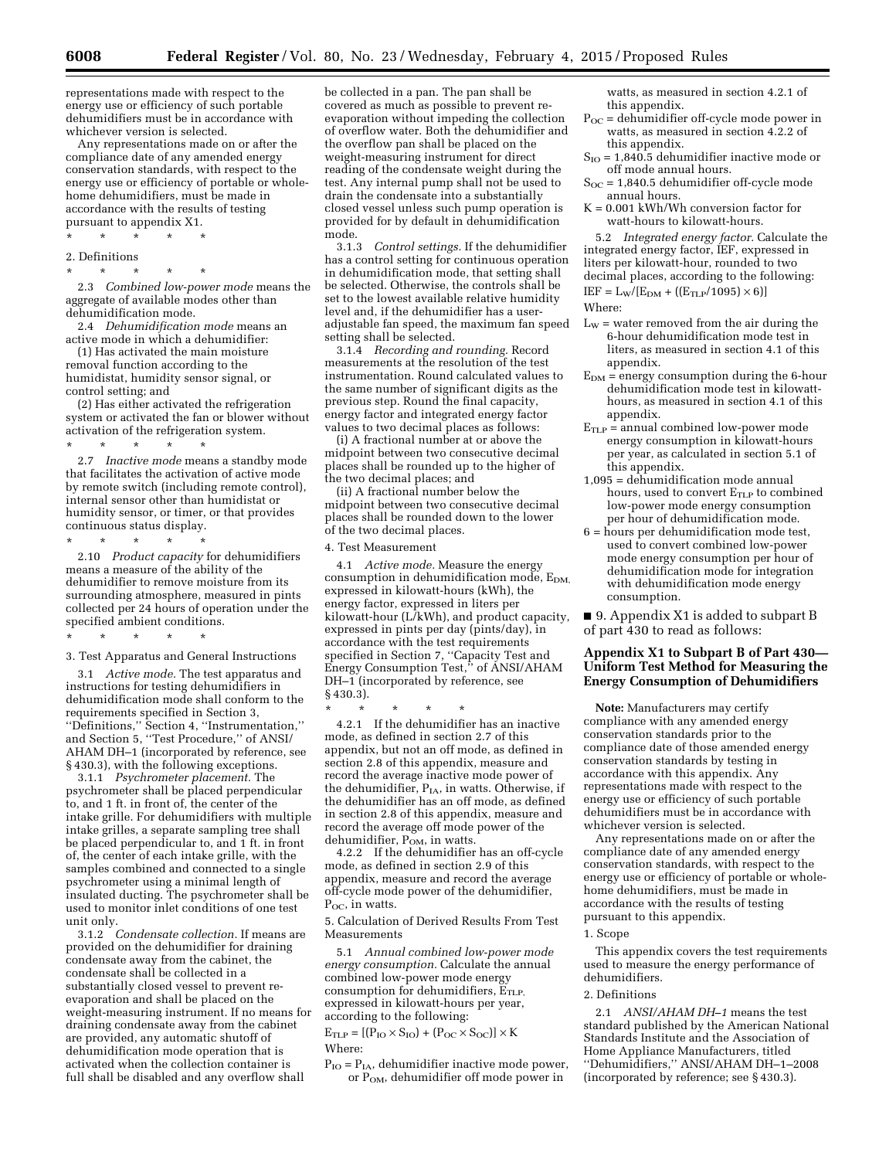representations made with respect to the energy use or efficiency of such portable dehumidifiers must be in accordance with whichever version is selected.

Any representations made on or after the compliance date of any amended energy conservation standards, with respect to the energy use or efficiency of portable or wholehome dehumidifiers, must be made in accordance with the results of testing pursuant to appendix X1.

- \* \* \* \* \*
- 2. Definitions
- \* \* \* \* \*

2.3 *Combined low-power mode* means the aggregate of available modes other than dehumidification mode.

2.4 *Dehumidification mode* means an active mode in which a dehumidifier:

(1) Has activated the main moisture removal function according to the humidistat, humidity sensor signal, or control setting; and

(2) Has either activated the refrigeration system or activated the fan or blower without activation of the refrigeration system.

\* \* \* \* \* 2.7 *Inactive mode* means a standby mode that facilitates the activation of active mode by remote switch (including remote control), internal sensor other than humidistat or humidity sensor, or timer, or that provides continuous status display.

\* \* \* \* \*

2.10 *Product capacity* for dehumidifiers means a measure of the ability of the dehumidifier to remove moisture from its surrounding atmosphere, measured in pints collected per 24 hours of operation under the specified ambient conditions.

\* \* \* \* \*

3. Test Apparatus and General Instructions

3.1 *Active mode.* The test apparatus and instructions for testing dehumidifiers in dehumidification mode shall conform to the requirements specified in Section 3, ''Definitions,'' Section 4, ''Instrumentation,'' and Section 5, ''Test Procedure,'' of ANSI/ AHAM DH–1 (incorporated by reference, see § 430.3), with the following exceptions.

3.1.1 *Psychrometer placement.* The psychrometer shall be placed perpendicular to, and 1 ft. in front of, the center of the intake grille. For dehumidifiers with multiple intake grilles, a separate sampling tree shall be placed perpendicular to, and 1 ft. in front of, the center of each intake grille, with the samples combined and connected to a single psychrometer using a minimal length of insulated ducting. The psychrometer shall be used to monitor inlet conditions of one test unit only.

3.1.2 *Condensate collection.* If means are provided on the dehumidifier for draining condensate away from the cabinet, the condensate shall be collected in a substantially closed vessel to prevent reevaporation and shall be placed on the weight-measuring instrument. If no means for draining condensate away from the cabinet are provided, any automatic shutoff of dehumidification mode operation that is activated when the collection container is full shall be disabled and any overflow shall

be collected in a pan. The pan shall be covered as much as possible to prevent reevaporation without impeding the collection of overflow water. Both the dehumidifier and the overflow pan shall be placed on the weight-measuring instrument for direct reading of the condensate weight during the test. Any internal pump shall not be used to drain the condensate into a substantially closed vessel unless such pump operation is provided for by default in dehumidification mode.

3.1.3 *Control settings.* If the dehumidifier has a control setting for continuous operation in dehumidification mode, that setting shall be selected. Otherwise, the controls shall be set to the lowest available relative humidity level and, if the dehumidifier has a useradjustable fan speed, the maximum fan speed setting shall be selected.

3.1.4 *Recording and rounding.* Record measurements at the resolution of the test instrumentation. Round calculated values to the same number of significant digits as the previous step. Round the final capacity, energy factor and integrated energy factor values to two decimal places as follows:

(i) A fractional number at or above the midpoint between two consecutive decimal places shall be rounded up to the higher of the two decimal places; and

(ii) A fractional number below the midpoint between two consecutive decimal places shall be rounded down to the lower of the two decimal places.

4. Test Measurement

4.1 *Active mode.* Measure the energy consumption in dehumidification mode,  $E_{DM}$ , expressed in kilowatt-hours (kWh), the energy factor, expressed in liters per kilowatt-hour (L/kWh), and product capacity, expressed in pints per day (pints/day), in accordance with the test requirements specified in Section 7, ''Capacity Test and Energy Consumption Test,'' of ANSI/AHAM DH–1 (incorporated by reference, see § 430.3).

\* \* \* \* \*

4.2.1 If the dehumidifier has an inactive mode, as defined in section 2.7 of this appendix, but not an off mode, as defined in section 2.8 of this appendix, measure and record the average inactive mode power of the dehumidifier,  $P_{IA}$ , in watts. Otherwise, if the dehumidifier has an off mode, as defined in section 2.8 of this appendix, measure and record the average off mode power of the dehumidifier, P<sub>OM</sub>, in watts.

4.2.2 If the dehumidifier has an off-cycle mode, as defined in section 2.9 of this appendix, measure and record the average off-cycle mode power of the dehumidifier, P<sub>oc</sub>, in watts.

5. Calculation of Derived Results From Test Measurements

5.1 *Annual combined low-power mode energy consumption.* Calculate the annual combined low-power mode energy consumption for dehumidifiers,  $E_{TLP}$ expressed in kilowatt-hours per year, according to the following:

 $E_{\text{TLP}} = [(P_{\text{IO}} \times S_{\text{IO}}) + (P_{\text{OC}} \times S_{\text{OC}})] \times K$ Where:

 $P_{IO} = P_{IA}$ , dehumidifier inactive mode power, or POM, dehumidifier off mode power in

watts, as measured in section 4.2.1 of this appendix.

- $P_{OC}$  = dehumidifier off-cycle mode power in watts, as measured in section 4.2.2 of this appendix.
- $S_{IO} = 1,840.5$  dehumidifier inactive mode or off mode annual hours.
- $S_{OC} = 1,840.5$  dehumidifier off-cycle mode annual hours.
- K = 0.001 kWh/Wh conversion factor for watt-hours to kilowatt-hours.

5.2 *Integrated energy factor.* Calculate the integrated energy factor, IEF, expressed in liters per kilowatt-hour, rounded to two decimal places, according to the following:  $IEF = L_W/[E_{DM} + ((E_{TLP}/1095) \times 6)]$ Where:

- $L_W$  = water removed from the air during the 6-hour dehumidification mode test in liters, as measured in section 4.1 of this appendix.
- $E_{DM}$  = energy consumption during the 6-hour dehumidification mode test in kilowatthours, as measured in section 4.1 of this appendix.
- $E_{TLP}$  = annual combined low-power mode energy consumption in kilowatt-hours per year, as calculated in section 5.1 of this appendix.
- 1,095 = dehumidification mode annual hours, used to convert  $E_{TLP}$  to combined low-power mode energy consumption per hour of dehumidification mode.
- 6 = hours per dehumidification mode test, used to convert combined low-power mode energy consumption per hour of dehumidification mode for integration with dehumidification mode energy consumption.

■ 9. Appendix X1 is added to subpart B of part 430 to read as follows:

# **Appendix X1 to Subpart B of Part 430— Uniform Test Method for Measuring the Energy Consumption of Dehumidifiers**

**Note:** Manufacturers may certify compliance with any amended energy conservation standards prior to the compliance date of those amended energy conservation standards by testing in accordance with this appendix. Any representations made with respect to the energy use or efficiency of such portable dehumidifiers must be in accordance with whichever version is selected.

Any representations made on or after the compliance date of any amended energy conservation standards, with respect to the energy use or efficiency of portable or wholehome dehumidifiers, must be made in accordance with the results of testing pursuant to this appendix.

#### 1. Scope

This appendix covers the test requirements used to measure the energy performance of dehumidifiers.

#### 2. Definitions

2.1 *ANSI/AHAM DH–1* means the test standard published by the American National Standards Institute and the Association of Home Appliance Manufacturers, titled ''Dehumidifiers,'' ANSI/AHAM DH–1–2008 (incorporated by reference; see § 430.3).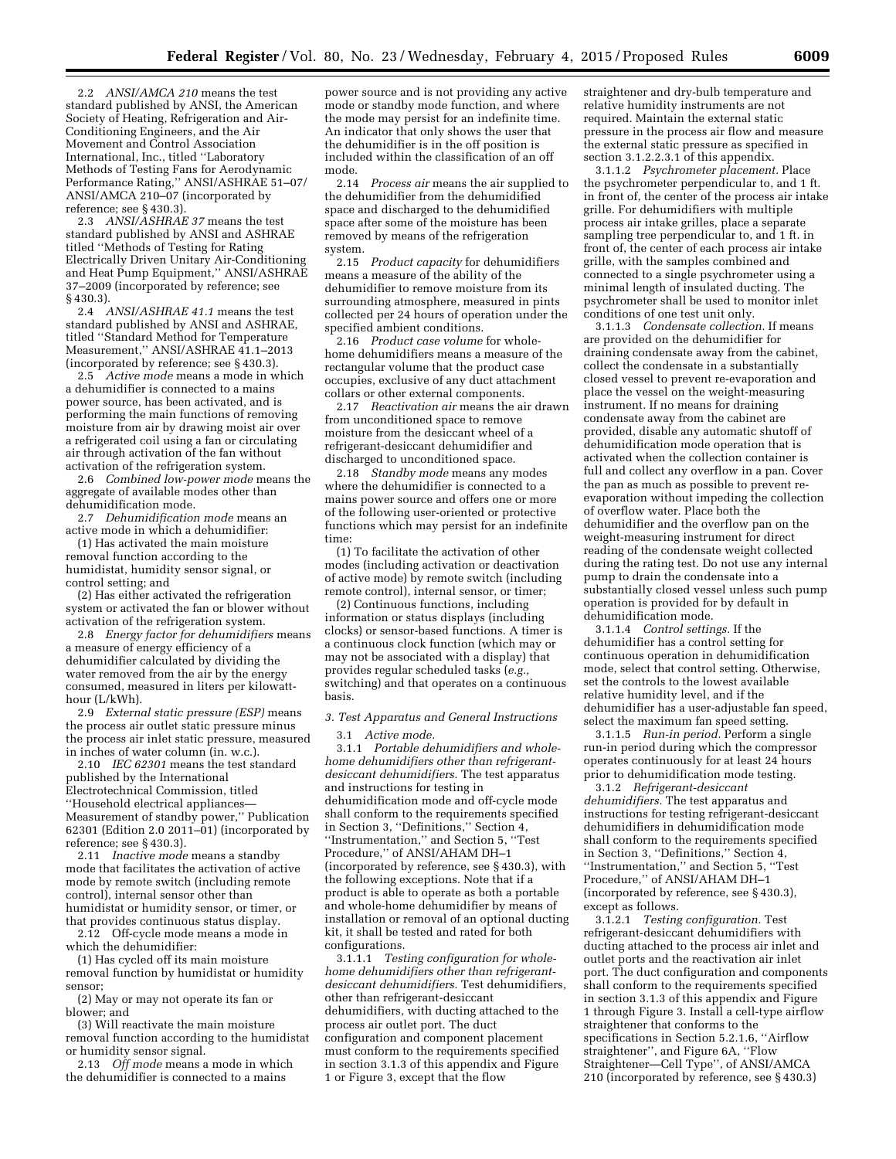2.2 *ANSI/AMCA 210* means the test standard published by ANSI, the American Society of Heating, Refrigeration and Air-Conditioning Engineers, and the Air Movement and Control Association International, Inc., titled ''Laboratory Methods of Testing Fans for Aerodynamic Performance Rating,'' ANSI/ASHRAE 51–07/ ANSI/AMCA 210–07 (incorporated by reference; see § 430.3).

2.3 *ANSI/ASHRAE 37* means the test standard published by ANSI and ASHRAE titled ''Methods of Testing for Rating Electrically Driven Unitary Air-Conditioning and Heat Pump Equipment,'' ANSI/ASHRAE 37–2009 (incorporated by reference; see § 430.3).

2.4 *ANSI/ASHRAE 41.1* means the test standard published by ANSI and ASHRAE, titled ''Standard Method for Temperature Measurement,'' ANSI/ASHRAE 41.1–2013 (incorporated by reference; see § 430.3).

2.5 *Active mode* means a mode in which a dehumidifier is connected to a mains power source, has been activated, and is performing the main functions of removing moisture from air by drawing moist air over a refrigerated coil using a fan or circulating air through activation of the fan without activation of the refrigeration system.

2.6 *Combined low-power mode* means the aggregate of available modes other than dehumidification mode.

2.7 *Dehumidification mode* means an active mode in which a dehumidifier:

(1) Has activated the main moisture removal function according to the humidistat, humidity sensor signal, or control setting; and

(2) Has either activated the refrigeration system or activated the fan or blower without activation of the refrigeration system.

2.8 *Energy factor for dehumidifiers* means a measure of energy efficiency of a dehumidifier calculated by dividing the water removed from the air by the energy consumed, measured in liters per kilowatthour (L/kWh).

2.9 *External static pressure (ESP)* means the process air outlet static pressure minus the process air inlet static pressure, measured in inches of water column (in. w.c.).

2.10 *IEC 62301* means the test standard published by the International Electrotechnical Commission, titled ''Household electrical appliances— Measurement of standby power,'' Publication  $62301$  (Edition 2.0 2011–01) (incorporated by reference; see § 430.3).

2.11 *Inactive mode* means a standby mode that facilitates the activation of active mode by remote switch (including remote control), internal sensor other than humidistat or humidity sensor, or timer, or that provides continuous status display.

2.12 Off-cycle mode means a mode in which the dehumidifier:

(1) Has cycled off its main moisture removal function by humidistat or humidity sensor;

(2) May or may not operate its fan or blower; and

(3) Will reactivate the main moisture removal function according to the humidistat or humidity sensor signal.

2.13 *Off mode* means a mode in which the dehumidifier is connected to a mains

power source and is not providing any active mode or standby mode function, and where the mode may persist for an indefinite time. An indicator that only shows the user that the dehumidifier is in the off position is included within the classification of an off mode.

2.14 *Process air* means the air supplied to the dehumidifier from the dehumidified space and discharged to the dehumidified space after some of the moisture has been removed by means of the refrigeration system.

2.15 *Product capacity* for dehumidifiers means a measure of the ability of the dehumidifier to remove moisture from its surrounding atmosphere, measured in pints collected per 24 hours of operation under the specified ambient conditions.

2.16 *Product case volume* for wholehome dehumidifiers means a measure of the rectangular volume that the product case occupies, exclusive of any duct attachment collars or other external components.

2.17 *Reactivation air* means the air drawn from unconditioned space to remove moisture from the desiccant wheel of a refrigerant-desiccant dehumidifier and discharged to unconditioned space.

2.18 *Standby mode* means any modes where the dehumidifier is connected to a mains power source and offers one or more of the following user-oriented or protective functions which may persist for an indefinite time:

(1) To facilitate the activation of other modes (including activation or deactivation of active mode) by remote switch (including remote control), internal sensor, or timer;

(2) Continuous functions, including information or status displays (including clocks) or sensor-based functions. A timer is a continuous clock function (which may or may not be associated with a display) that provides regular scheduled tasks (*e.g.,*  switching) and that operates on a continuous basis.

#### *3. Test Apparatus and General Instructions*

3.1 *Active mode.* 

3.1.1 *Portable dehumidifiers and wholehome dehumidifiers other than refrigerantdesiccant dehumidifiers.* The test apparatus and instructions for testing in dehumidification mode and off-cycle mode shall conform to the requirements specified in Section 3, ''Definitions,'' Section 4, ''Instrumentation,'' and Section 5, ''Test Procedure,'' of ANSI/AHAM DH–1 (incorporated by reference, see § 430.3), with the following exceptions. Note that if a product is able to operate as both a portable and whole-home dehumidifier by means of installation or removal of an optional ducting kit, it shall be tested and rated for both configurations.

3.1.1.1 *Testing configuration for wholehome dehumidifiers other than refrigerantdesiccant dehumidifiers.* Test dehumidifiers, other than refrigerant-desiccant dehumidifiers, with ducting attached to the process air outlet port. The duct configuration and component placement must conform to the requirements specified in section 3.1.3 of this appendix and Figure 1 or Figure 3, except that the flow

straightener and dry-bulb temperature and relative humidity instruments are not required. Maintain the external static pressure in the process air flow and measure the external static pressure as specified in section 3.1.2.2.3.1 of this appendix.

3.1.1.2 *Psychrometer placement.* Place the psychrometer perpendicular to, and 1 ft. in front of, the center of the process air intake grille. For dehumidifiers with multiple process air intake grilles, place a separate sampling tree perpendicular to, and 1 ft. in front of, the center of each process air intake grille, with the samples combined and connected to a single psychrometer using a minimal length of insulated ducting. The psychrometer shall be used to monitor inlet conditions of one test unit only.

3.1.1.3 *Condensate collection.* If means are provided on the dehumidifier for draining condensate away from the cabinet, collect the condensate in a substantially closed vessel to prevent re-evaporation and place the vessel on the weight-measuring instrument. If no means for draining condensate away from the cabinet are provided, disable any automatic shutoff of dehumidification mode operation that is activated when the collection container is full and collect any overflow in a pan. Cover the pan as much as possible to prevent reevaporation without impeding the collection of overflow water. Place both the dehumidifier and the overflow pan on the weight-measuring instrument for direct reading of the condensate weight collected during the rating test. Do not use any internal pump to drain the condensate into a substantially closed vessel unless such pump operation is provided for by default in dehumidification mode.

3.1.1.4 *Control settings.* If the dehumidifier has a control setting for continuous operation in dehumidification mode, select that control setting. Otherwise, set the controls to the lowest available relative humidity level, and if the dehumidifier has a user-adjustable fan speed, select the maximum fan speed setting.

3.1.1.5 *Run-in period.* Perform a single run-in period during which the compressor operates continuously for at least 24 hours prior to dehumidification mode testing.

3.1.2 *Refrigerant-desiccant dehumidifiers.* The test apparatus and instructions for testing refrigerant-desiccant dehumidifiers in dehumidification mode shall conform to the requirements specified in Section 3, ''Definitions,'' Section 4, ''Instrumentation,'' and Section 5, ''Test Procedure,'' of ANSI/AHAM DH–1 (incorporated by reference, see § 430.3), except as follows.

3.1.2.1 *Testing configuration.* Test refrigerant-desiccant dehumidifiers with ducting attached to the process air inlet and outlet ports and the reactivation air inlet port. The duct configuration and components shall conform to the requirements specified in section 3.1.3 of this appendix and Figure 1 through Figure 3. Install a cell-type airflow straightener that conforms to the specifications in Section 5.2.1.6, ''Airflow straightener'', and Figure 6A, ''Flow Straightener—Cell Type'', of ANSI/AMCA 210 (incorporated by reference, see § 430.3)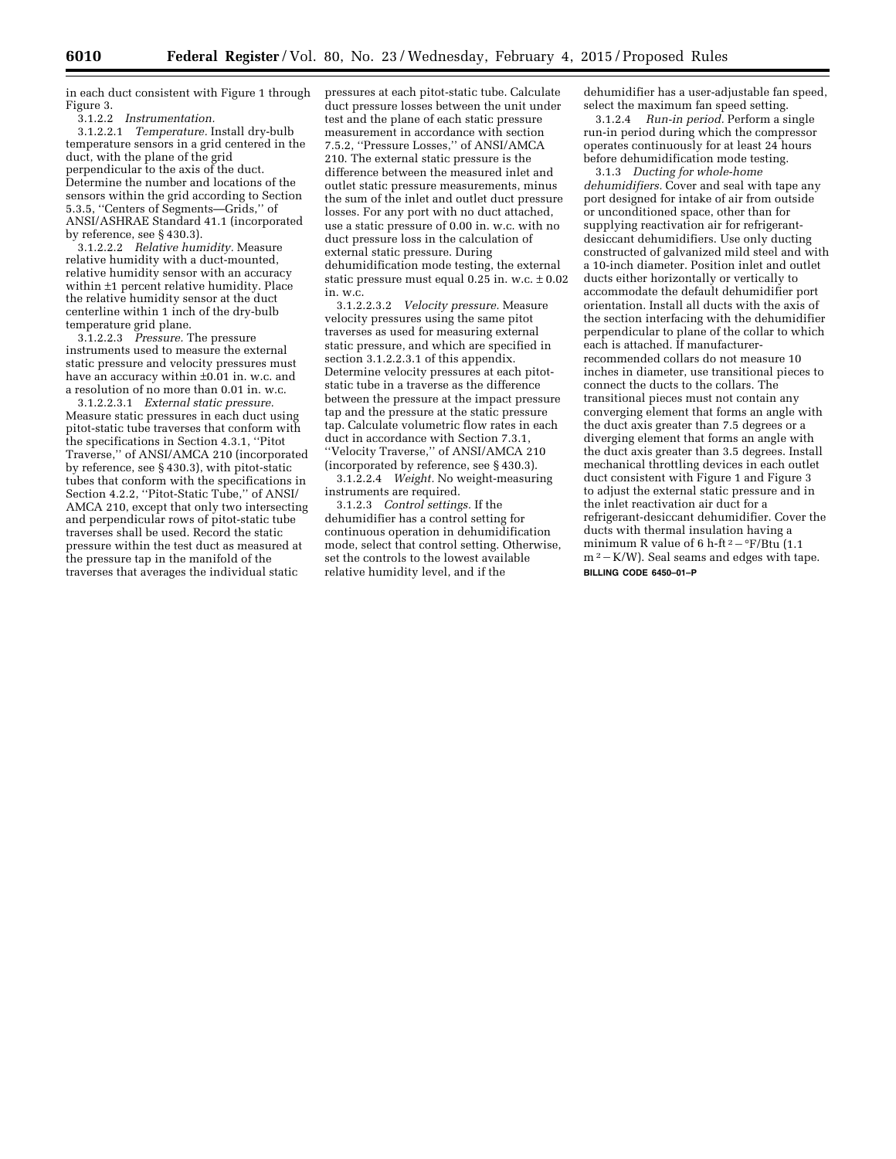in each duct consistent with Figure 1 through Figure 3.<br>3.1.2.2

 $Instrumentation.$ 

3.1.2.2.1 *Temperature.* Install dry-bulb temperature sensors in a grid centered in the duct, with the plane of the grid perpendicular to the axis of the duct. Determine the number and locations of the sensors within the grid according to Section 5.3.5, ''Centers of Segments—Grids,'' of ANSI/ASHRAE Standard 41.1 (incorporated by reference, see § 430.3).

3.1.2.2.2 *Relative humidity.* Measure relative humidity with a duct-mounted, relative humidity sensor with an accuracy within ±1 percent relative humidity. Place the relative humidity sensor at the duct centerline within 1 inch of the dry-bulb temperature grid plane.

3.1.2.2.3 *Pressure.* The pressure instruments used to measure the external static pressure and velocity pressures must have an accuracy within ±0.01 in. w.c. and a resolution of no more than 0.01 in. w.c.

3.1.2.2.3.1 *External static pressure.*  Measure static pressures in each duct using pitot-static tube traverses that conform with the specifications in Section 4.3.1, ''Pitot Traverse,'' of ANSI/AMCA 210 (incorporated by reference, see § 430.3), with pitot-static tubes that conform with the specifications in Section 4.2.2, ''Pitot-Static Tube,'' of ANSI/ AMCA 210, except that only two intersecting and perpendicular rows of pitot-static tube traverses shall be used. Record the static pressure within the test duct as measured at the pressure tap in the manifold of the traverses that averages the individual static

pressures at each pitot-static tube. Calculate duct pressure losses between the unit under test and the plane of each static pressure measurement in accordance with section 7.5.2, ''Pressure Losses,'' of ANSI/AMCA 210. The external static pressure is the difference between the measured inlet and outlet static pressure measurements, minus the sum of the inlet and outlet duct pressure losses. For any port with no duct attached, use a static pressure of 0.00 in. w.c. with no duct pressure loss in the calculation of external static pressure. During dehumidification mode testing, the external static pressure must equal  $0.2\bar{5}$  in. w.c.  $\pm 0.02$ in. w.c.

3.1.2.2.3.2 *Velocity pressure.* Measure velocity pressures using the same pitot traverses as used for measuring external static pressure, and which are specified in section 3.1.2.2.3.1 of this appendix. Determine velocity pressures at each pitotstatic tube in a traverse as the difference between the pressure at the impact pressure tap and the pressure at the static pressure tap. Calculate volumetric flow rates in each duct in accordance with Section 7.3.1, ''Velocity Traverse,'' of ANSI/AMCA 210 (incorporated by reference, see § 430.3).

3.1.2.2.4 *Weight.* No weight-measuring instruments are required.

3.1.2.3 *Control settings.* If the dehumidifier has a control setting for continuous operation in dehumidification mode, select that control setting. Otherwise, set the controls to the lowest available relative humidity level, and if the

dehumidifier has a user-adjustable fan speed, select the maximum fan speed setting.

3.1.2.4 *Run-in period.* Perform a single run-in period during which the compressor operates continuously for at least 24 hours before dehumidification mode testing.

3.1.3 *Ducting for whole-home dehumidifiers.* Cover and seal with tape any port designed for intake of air from outside or unconditioned space, other than for supplying reactivation air for refrigerantdesiccant dehumidifiers. Use only ducting constructed of galvanized mild steel and with a 10-inch diameter. Position inlet and outlet ducts either horizontally or vertically to accommodate the default dehumidifier port orientation. Install all ducts with the axis of the section interfacing with the dehumidifier perpendicular to plane of the collar to which each is attached. If manufacturerrecommended collars do not measure 10 inches in diameter, use transitional pieces to connect the ducts to the collars. The transitional pieces must not contain any converging element that forms an angle with the duct axis greater than 7.5 degrees or a diverging element that forms an angle with the duct axis greater than 3.5 degrees. Install mechanical throttling devices in each outlet duct consistent with Figure 1 and Figure 3 to adjust the external static pressure and in the inlet reactivation air duct for a refrigerant-desiccant dehumidifier. Cover the ducts with thermal insulation having a minimum R value of 6 h-ft  $2-\frac{eF}{B}$ tu (1.1)  $m^2-K/W$ ). Seal seams and edges with tape. **BILLING CODE 6450–01–P**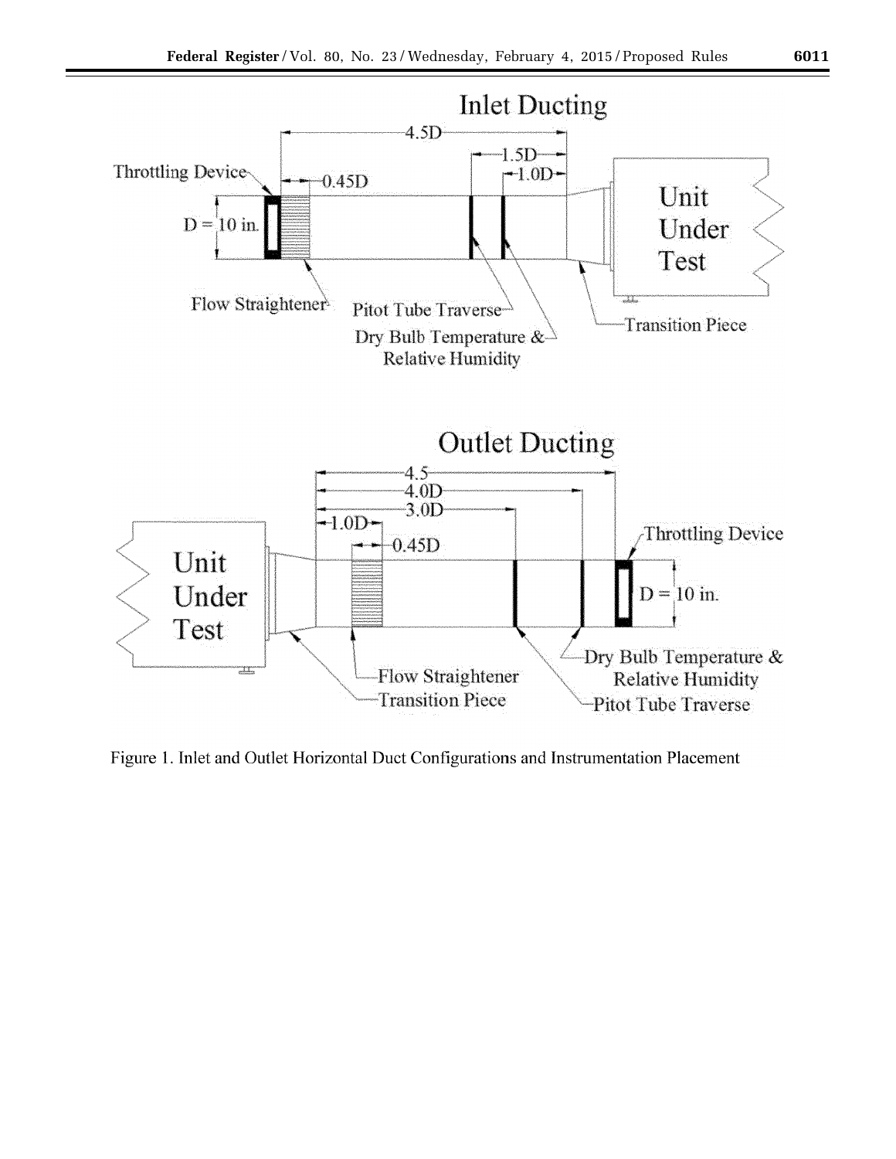

Figure 1. Inlet and Outlet Horizontal Duct Configurations and Instrumentation Placement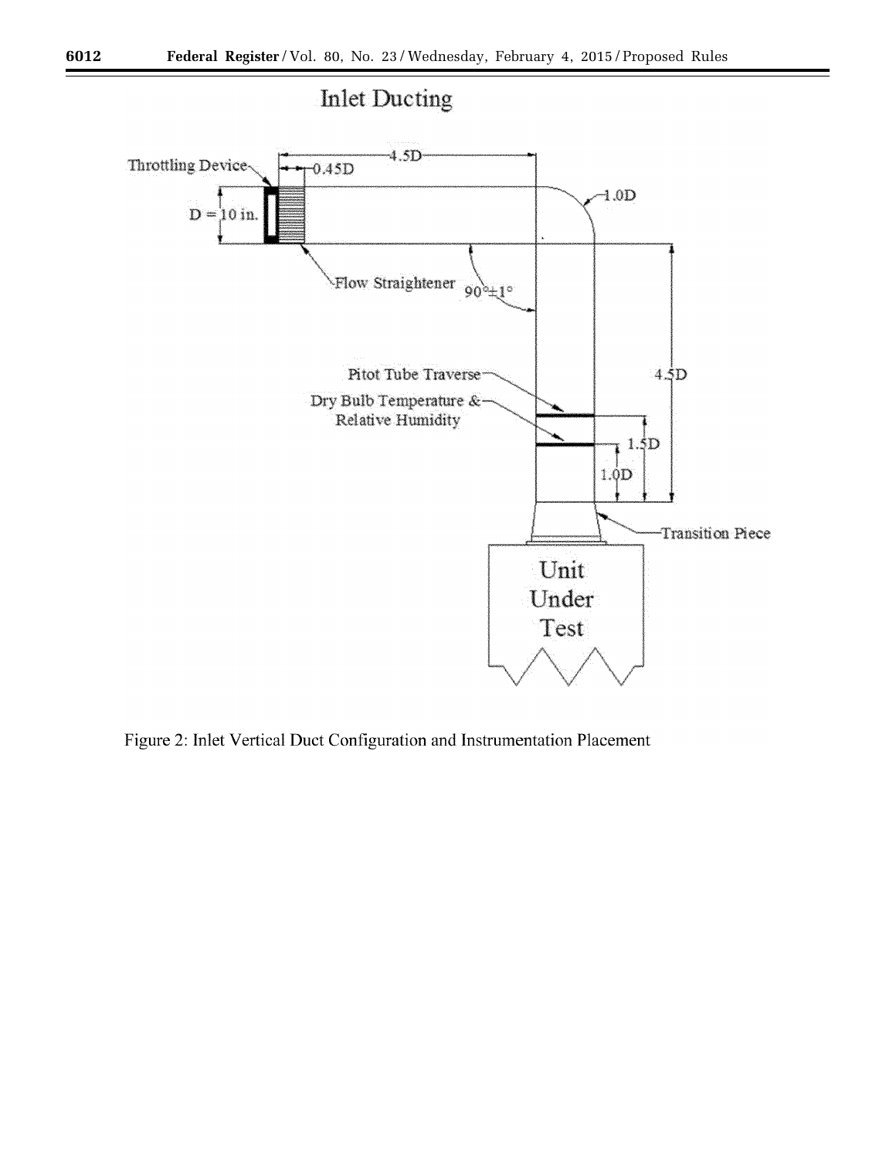

Figure 2: Inlet Vertical Duct Configuration and Instrumentation Placement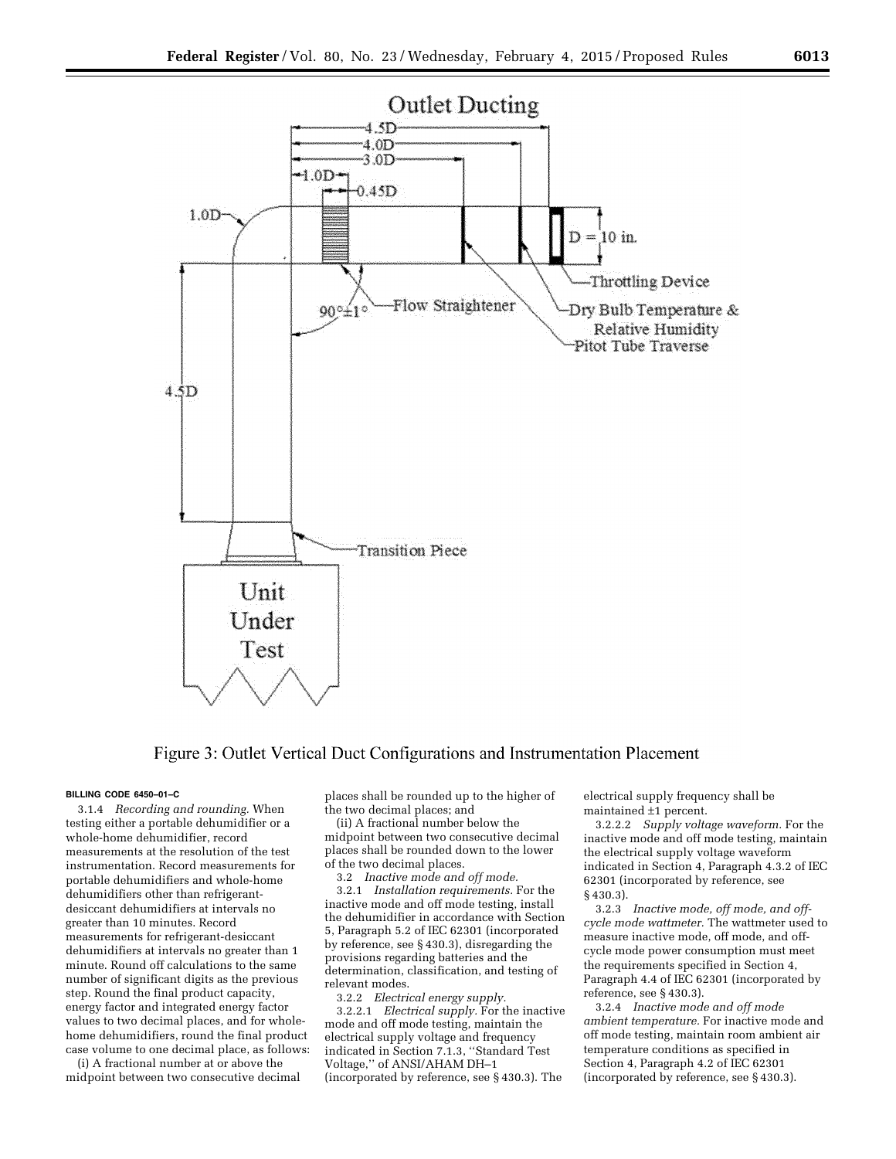

# Figure 3: Outlet Vertical Duct Configurations and Instrumentation Placement

#### **BILLING CODE 6450–01–C**

3.1.4 *Recording and rounding.* When testing either a portable dehumidifier or a whole-home dehumidifier, record measurements at the resolution of the test instrumentation. Record measurements for portable dehumidifiers and whole-home dehumidifiers other than refrigerantdesiccant dehumidifiers at intervals no greater than 10 minutes. Record measurements for refrigerant-desiccant dehumidifiers at intervals no greater than 1 minute. Round off calculations to the same number of significant digits as the previous step. Round the final product capacity, energy factor and integrated energy factor values to two decimal places, and for wholehome dehumidifiers, round the final product case volume to one decimal place, as follows:

(i) A fractional number at or above the midpoint between two consecutive decimal places shall be rounded up to the higher of the two decimal places; and

(ii) A fractional number below the midpoint between two consecutive decimal places shall be rounded down to the lower of the two decimal places.

3.2 *Inactive mode and off mode.* 

3.2.1 *Installation requirements.* For the inactive mode and off mode testing, install the dehumidifier in accordance with Section 5, Paragraph 5.2 of IEC 62301 (incorporated by reference, see § 430.3), disregarding the provisions regarding batteries and the determination, classification, and testing of relevant modes.

3.2.2 *Electrical energy supply.* 

3.2.2.1 *Electrical supply.* For the inactive mode and off mode testing, maintain the electrical supply voltage and frequency indicated in Section 7.1.3, ''Standard Test Voltage,'' of ANSI/AHAM DH–1 (incorporated by reference, see § 430.3). The

electrical supply frequency shall be maintained ±1 percent.

3.2.2.2 *Supply voltage waveform.* For the inactive mode and off mode testing, maintain the electrical supply voltage waveform indicated in Section 4, Paragraph 4.3.2 of IEC 62301 (incorporated by reference, see § 430.3).

3.2.3 *Inactive mode, off mode, and offcycle mode wattmeter.* The wattmeter used to measure inactive mode, off mode, and offcycle mode power consumption must meet the requirements specified in Section 4, Paragraph 4.4 of IEC 62301 (incorporated by reference, see § 430.3).

3.2.4 *Inactive mode and off mode ambient temperature.* For inactive mode and off mode testing, maintain room ambient air temperature conditions as specified in Section 4, Paragraph 4.2 of IEC 62301 (incorporated by reference, see § 430.3).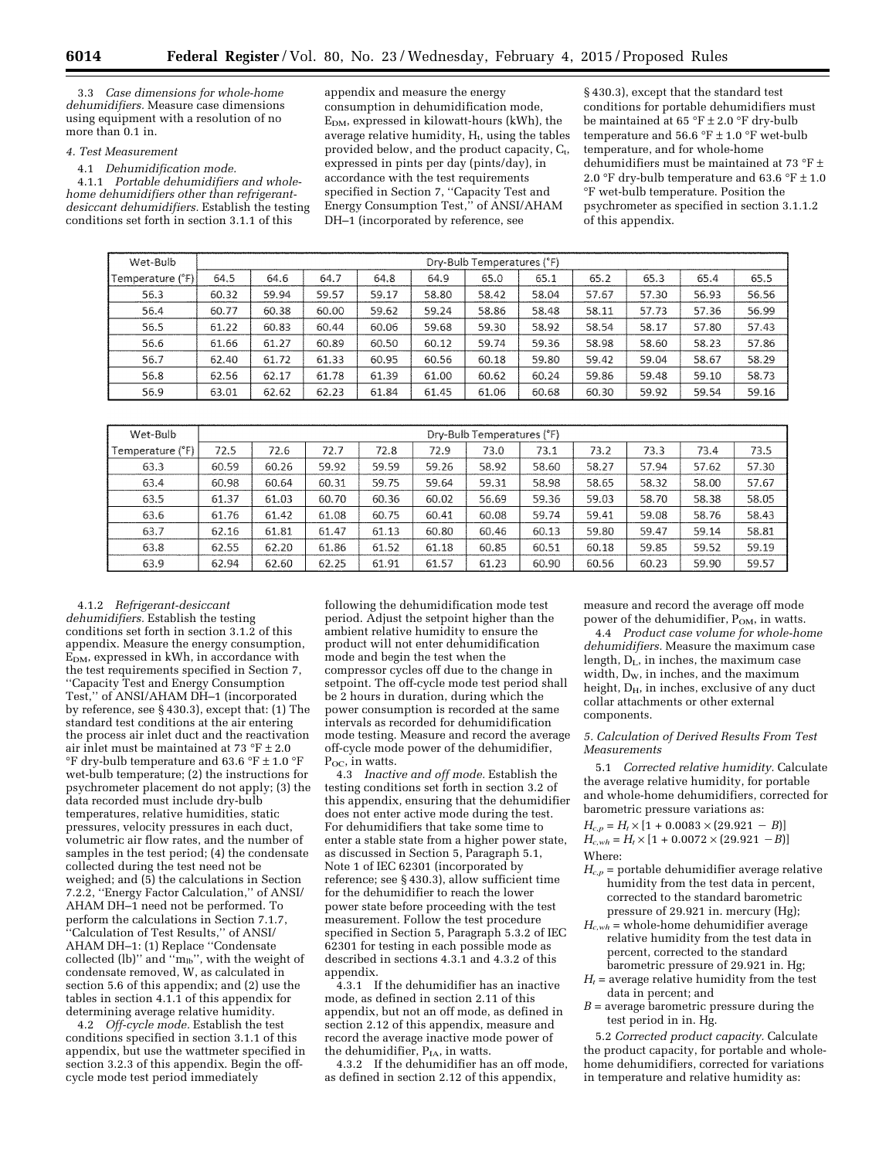3.3 *Case dimensions for whole-home dehumidifiers.* Measure case dimensions using equipment with a resolution of no more than 0.1 in.

#### *4. Test Measurement*

4.1 *Dehumidification mode.* 

4.1.1 *Portable dehumidifiers and wholehome dehumidifiers other than refrigerantdesiccant dehumidifiers.* Establish the testing conditions set forth in section 3.1.1 of this

appendix and measure the energy consumption in dehumidification mode, EDM, expressed in kilowatt-hours (kWh), the average relative humidity,  $H_t$ , using the tables provided below, and the product capacity,  $C_t$ , expressed in pints per day (pints/day), in accordance with the test requirements specified in Section 7, ''Capacity Test and Energy Consumption Test,'' of ANSI/AHAM DH–1 (incorporated by reference, see

§ 430.3), except that the standard test conditions for portable dehumidifiers must be maintained at 65 °F  $\pm$  2.0 °F dry-bulb temperature and 56.6 °F  $\pm$  1.0 °F wet-bulb temperature, and for whole-home dehumidifiers must be maintained at 73  $^{\circ}\text{F}$   $\pm$ 2.0 °F dry-bulb temperature and 63.6 °F  $\pm$  1.0 °F wet-bulb temperature. Position the psychrometer as specified in section 3.1.1.2 of this appendix.

| Wet-Bulb          | Dry-Bulb Temperatures (°F) |       |       |       |       |       |       |       |       |       |       |  |
|-------------------|----------------------------|-------|-------|-------|-------|-------|-------|-------|-------|-------|-------|--|
| Temperature (°F): | 64.5                       | 64.6  | 64.7  | 64.8  | 64.9  | 65.0  | 65.1  | 65.2  | 65.3  | 65.4  | 65.5  |  |
| 56.3              | 60.32                      | 59.94 | 59.57 | 59.17 | 58.80 | 58.42 | 58.04 | 57.67 | 57.30 | 56.93 | 56.56 |  |
| 56.4              | 60.77                      | 60.38 | 60.00 | 59.62 | 59.24 | 58.86 | 58.48 | 58.11 | 57.73 | 57.36 | 56.99 |  |
| 56.5              | 61.22                      | 60.83 | 60.44 | 60.06 | 59.68 | 59.30 | 58.92 | 58.54 | 58.17 | 57.80 | 57.43 |  |
| 56.6              | 61.66                      | 61.27 | 60.89 | 60.50 | 60.12 | 59.74 | 59.36 | 58.98 | 58.60 | 58.23 | 57.86 |  |
| 56.7              | 62.40                      | 61.72 | 61.33 | 60.95 | 60.56 | 60.18 | 59.80 | 59.42 | 59.04 | 58.67 | 58.29 |  |
| 56.8              | 62.56                      | 62.17 | 61.78 | 61.39 | 61.00 | 60.62 | 60.24 | 59.86 | 59.48 | 59.10 | 58.73 |  |
| 56.9              | 63.01                      | 62.62 | 62.23 | 61.84 | 61.45 | 61.06 | 60.68 | 60.30 | 59.92 | 59.54 | 59.16 |  |
|                   |                            |       |       |       |       |       |       |       |       |       |       |  |

| Wet-Bulb         | Dry-Bulb Temperatures (°F) |       |       |       |       |       |       |       |       |       |       |  |
|------------------|----------------------------|-------|-------|-------|-------|-------|-------|-------|-------|-------|-------|--|
| Temperature (°F) | 72.5                       | 72.6  | 72.7  | 72.8  | 72.9  | 73.0  | 73.1  | 73.2  | 73.3  | 73.4  | 73.5  |  |
| 63.3             | 60.59                      | 60.26 | 59.92 | 59.59 | 59.26 | 58.92 | 58.60 | 58.27 | 57.94 | 57.62 | 57.30 |  |
| 63.4             | 60.98                      | 60.64 | 60.31 | 59.75 | 59.64 | 59.31 | 58.98 | 58.65 | 58.32 | 58.00 | 57.67 |  |
| 63.5             | 61.37                      | 61.03 | 60.70 | 60.36 | 60.02 | 56.69 | 59.36 | 59.03 | 58.70 | 58.38 | 58.05 |  |
| 63.6             | 61.76                      | 61.42 | 61.08 | 60.75 | 60.41 | 60.08 | 59.74 | 59.41 | 59.08 | 58.76 | 58.43 |  |
| 63.7             | 62.16                      | 61.81 | 61.47 | 61.13 | 60.80 | 60.46 | 60.13 | 59.80 | 59.47 | 59.14 | 58.81 |  |
| 63.8             | 62.55                      | 62.20 | 61.86 | 61.52 | 61.18 | 60.85 | 60.51 | 60.18 | 59.85 | 59.52 | 59.19 |  |
| 63.9             | 62.94                      | 62.60 | 62.25 | 61.91 | 61.57 | 61.23 | 60.90 | 60.56 | 60.23 | 59.90 | 59.57 |  |

#### 4.1.2 *Refrigerant-desiccant*

*dehumidifiers.* Establish the testing conditions set forth in section 3.1.2 of this appendix. Measure the energy consumption,  $E_{DM}$ , expressed in kWh, in accordance with the test requirements specified in Section 7, ''Capacity Test and Energy Consumption Test," of ANSI/AHAM DH-1 (incorporated by reference, see § 430.3), except that: (1) The standard test conditions at the air entering the process air inlet duct and the reactivation air inlet must be maintained at 73 °F  $\pm$  2.0  $\mathrm{^{\circ}F}$  dry-bulb temperature and 63.6  $\mathrm{^{\circ}F}$  ± 1.0  $\mathrm{^{\circ}F}$ wet-bulb temperature; (2) the instructions for psychrometer placement do not apply; (3) the data recorded must include dry-bulb temperatures, relative humidities, static pressures, velocity pressures in each duct, volumetric air flow rates, and the number of samples in the test period; (4) the condensate collected during the test need not be weighed; and (5) the calculations in Section 7.2.2, ''Energy Factor Calculation,'' of ANSI/ AHAM DH–1 need not be performed. To perform the calculations in Section 7.1.7, ''Calculation of Test Results,'' of ANSI/ AHAM DH–1: (1) Replace ''Condensate collected (lb)'' and " $m_{1b}$ ", with the weight of condensate removed, W, as calculated in section 5.6 of this appendix; and (2) use the tables in section 4.1.1 of this appendix for determining average relative humidity.

4.2 *Off-cycle mode.* Establish the test conditions specified in section 3.1.1 of this appendix, but use the wattmeter specified in section 3.2.3 of this appendix. Begin the offcycle mode test period immediately

following the dehumidification mode test period. Adjust the setpoint higher than the ambient relative humidity to ensure the product will not enter dehumidification mode and begin the test when the compressor cycles off due to the change in setpoint. The off-cycle mode test period shall be 2 hours in duration, during which the power consumption is recorded at the same intervals as recorded for dehumidification mode testing. Measure and record the average off-cycle mode power of the dehumidifier, P<sub>oc</sub>, in watts.

4.3 *Inactive and off mode.* Establish the testing conditions set forth in section 3.2 of this appendix, ensuring that the dehumidifier does not enter active mode during the test. For dehumidifiers that take some time to enter a stable state from a higher power state, as discussed in Section 5, Paragraph 5.1, Note 1 of IEC 62301 (incorporated by reference; see § 430.3), allow sufficient time for the dehumidifier to reach the lower power state before proceeding with the test measurement. Follow the test procedure specified in Section 5, Paragraph 5.3.2 of IEC 62301 for testing in each possible mode as described in sections 4.3.1 and 4.3.2 of this appendix.

4.3.1 If the dehumidifier has an inactive mode, as defined in section 2.11 of this appendix, but not an off mode, as defined in section 2.12 of this appendix, measure and record the average inactive mode power of the dehumidifier, P<sub>IA</sub>, in watts.

4.3.2 If the dehumidifier has an off mode, as defined in section 2.12 of this appendix,

measure and record the average off mode power of the dehumidifier,  $\overline{P_{OM}}$ , in watts.

4.4 *Product case volume for whole-home dehumidifiers.* Measure the maximum case length, DL, in inches, the maximum case width,  $D_w$ , in inches, and the maximum height,  $D_H$ , in inches, exclusive of any duct collar attachments or other external components.

#### *5. Calculation of Derived Results From Test Measurements*

5.1 *Corrected relative humidity.* Calculate the average relative humidity, for portable and whole-home dehumidifiers, corrected for barometric pressure variations as:

 $H_{c,p} = H_t \times [1 + 0.0083 \times (29.921 - B)]$  $H_{c,wh} = H_t \times [1 + 0.0072 \times (29.921 - B)]$ Where:

- $H_{c,p}$  = portable dehumidifier average relative humidity from the test data in percent, corrected to the standard barometric pressure of 29.921 in. mercury (Hg);
- $H_{c,wh}$  = whole-home dehumidifier average relative humidity from the test data in percent, corrected to the standard barometric pressure of 29.921 in. Hg;
- $H_t$  = average relative humidity from the test data in percent; and
- *B* = average barometric pressure during the test period in in. Hg.

5.2 *Corrected product capacity.* Calculate the product capacity, for portable and wholehome dehumidifiers, corrected for variations in temperature and relative humidity as: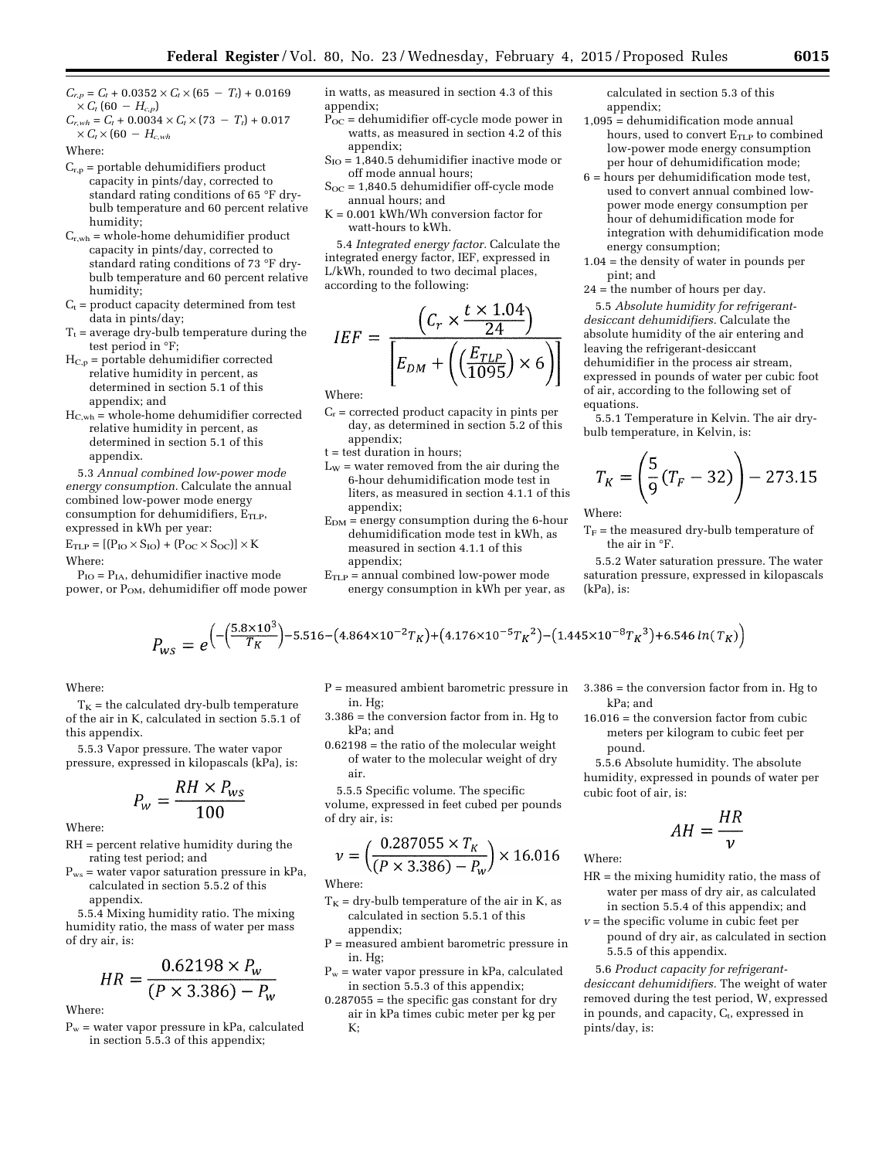$C_{r,p} = C_t + 0.0352 \times C_t \times (65 - T_t) + 0.0169$  $\times$  *C<sub>t</sub>* (60 – *H<sub>c,p</sub>*)

 $C_{r,wh} = C_t + 0.0034 \times C_t \times (73 - T_t) + 0.017$  $\times$  *C<sub>t</sub>*  $\times$  (60  $-$  *H<sub>c,wh</sub>* 

Where:

- $C_{r,p}$  = portable dehumidifiers product capacity in pints/day, corrected to standard rating conditions of 65 °F drybulb temperature and 60 percent relative humidity;
- $C_{r,wh}$  = whole-home dehumidifier product capacity in pints/day, corrected to standard rating conditions of 73 °F drybulb temperature and 60 percent relative humidity;
- $C_t$  = product capacity determined from test data in pints/day;
- $T_t$  = average dry-bulb temperature during the test period in °F;
- $H_{C,p}$  = portable dehumidifier corrected relative humidity in percent, as determined in section 5.1 of this appendix; and
- $H_{C,wh}$  = whole-home dehumidifier corrected relative humidity in percent, as determined in section 5.1 of this appendix.

5.3 *Annual combined low-power mode energy consumption.* Calculate the annual combined low-power mode energy consumption for dehumidifiers,  $E_{\text{TLP}}$ , expressed in kWh per year:

 $E<sub>TLP</sub> = [(P<sub>IO</sub> × S<sub>IO</sub>) + (P<sub>OC</sub> × S<sub>OC</sub>)] × K$ Where:

 $P_{IO} = P_{IA}$ , dehumidifier inactive mode power, or P<sub>OM</sub>, dehumidifier off mode power in watts, as measured in section 4.3 of this appendix;

- $\overline{P_{OC}}$  = dehumidifier off-cycle mode power in watts, as measured in section 4.2 of this appendix;
- $S_{IO} = 1,840.5$  dehumidifier inactive mode or off mode annual hours;
- $S_{OC} = 1,840.5$  dehumidifier off-cycle mode annual hours; and
- K = 0.001 kWh/Wh conversion factor for watt-hours to kWh.

5.4 *Integrated energy factor.* Calculate the integrated energy factor, IEF, expressed in L/kWh, rounded to two decimal places, according to the following:

$$
IEF = \frac{\left(C_r \times \frac{t \times 1.04}{24}\right)}{\left[E_{DM} + \left(\left(\frac{E_{TLP}}{1095}\right) \times 6\right)\right]}
$$

Where:

- $C_r$  = corrected product capacity in pints per day, as determined in section 5.2 of this appendix;
- t = test duration in hours;
- $L_W$  = water removed from the air during the 6-hour dehumidification mode test in liters, as measured in section 4.1.1 of this appendix;
- $E_{DM}$  = energy consumption during the 6-hour dehumidification mode test in kWh, as measured in section 4.1.1 of this appendix;
- $E<sub>TLP</sub>$  = annual combined low-power mode energy consumption in kWh per year, as

calculated in section 5.3 of this appendix;

- $1,095 =$  dehumidification mode annual hours, used to convert E<sub>TLP</sub> to combined low-power mode energy consumption per hour of dehumidification mode;
- 6 = hours per dehumidification mode test, used to convert annual combined lowpower mode energy consumption per hour of dehumidification mode for integration with dehumidification mode energy consumption;
- 1.04 = the density of water in pounds per pint; and
- 24 = the number of hours per day.

5.5 *Absolute humidity for refrigerantdesiccant dehumidifiers.* Calculate the absolute humidity of the air entering and leaving the refrigerant-desiccant dehumidifier in the process air stream, expressed in pounds of water per cubic foot of air, according to the following set of equations.

5.5.1 Temperature in Kelvin. The air drybulb temperature, in Kelvin, is:

$$
T_K = \left(\frac{5}{9}(T_F - 32)\right) - 273.15
$$

Where:

 $\mathrm{T}_{\mathrm{F}}$  = the measured dry-bulb temperature of the air in °F.

5.5.2 Water saturation pressure. The water saturation pressure, expressed in kilopascals (kPa), is:

$$
P_{WS} = e^{-\left(\frac{5.8 \times 10^3}{T_K}\right) - 5.516 - \left(4.864 \times 10^{-2} T_K\right) + \left(4.176 \times 10^{-5} T_K^2\right) - \left(1.445 \times 10^{-8} T_K^3\right) + 6.546 \ln(T_K)\right)}
$$

Where:

 $T<sub>K</sub>$  = the calculated dry-bulb temperature of the air in K, calculated in section 5.5.1 of this appendix.

5.5.3 Vapor pressure. The water vapor pressure, expressed in kilopascals (kPa), is:

1

$$
P_w = \frac{RH \times P_{ws}}{100}
$$

Where:

- RH = percent relative humidity during the rating test period; and
- $P_{ws}$  = water vapor saturation pressure in kPa, calculated in section 5.5.2 of this appendix.

5.5.4 Mixing humidity ratio. The mixing humidity ratio, the mass of water per mass of dry air, is:

$$
HR = \frac{0.62198 \times P_w}{(P \times 3.386) - P_w}
$$

Where:

 $P_w$  = water vapor pressure in kPa, calculated in section 5.5.3 of this appendix;

- P = measured ambient barometric pressure in in. Hg;
- 3.386 = the conversion factor from in. Hg to kPa; and
- 0.62198 = the ratio of the molecular weight of water to the molecular weight of dry air.

5.5.5 Specific volume. The specific volume, expressed in feet cubed per pounds of dry air, is:

$$
\nu = \left(\frac{0.287055 \times T_K}{(P \times 3.386) - P_w}\right) \times 16.016
$$

Where:

- $T<sub>K</sub>$  = dry-bulb temperature of the air in K, as calculated in section 5.5.1 of this appendix;
- P = measured ambient barometric pressure in in. Hg;
- $P_w$  = water vapor pressure in kPa, calculated in section 5.5.3 of this appendix;
- $0.287055$  = the specific gas constant for dry air in kPa times cubic meter per kg per  $K:$
- 3.386 = the conversion factor from in. Hg to kPa; and
- 16.016 = the conversion factor from cubic meters per kilogram to cubic feet per pound.

5.5.6 Absolute humidity. The absolute humidity, expressed in pounds of water per cubic foot of air, is:

$$
AH = \frac{HR}{v}
$$

Where:

- HR = the mixing humidity ratio, the mass of water per mass of dry air, as calculated in section 5.5.4 of this appendix; and
- *v* = the specific volume in cubic feet per pound of dry air, as calculated in section 5.5.5 of this appendix.
- 5.6 *Product capacity for refrigerantdesiccant dehumidifiers.* The weight of water removed during the test period, W, expressed in pounds, and capacity, C<sub>t</sub>, expressed in pints/day, is: